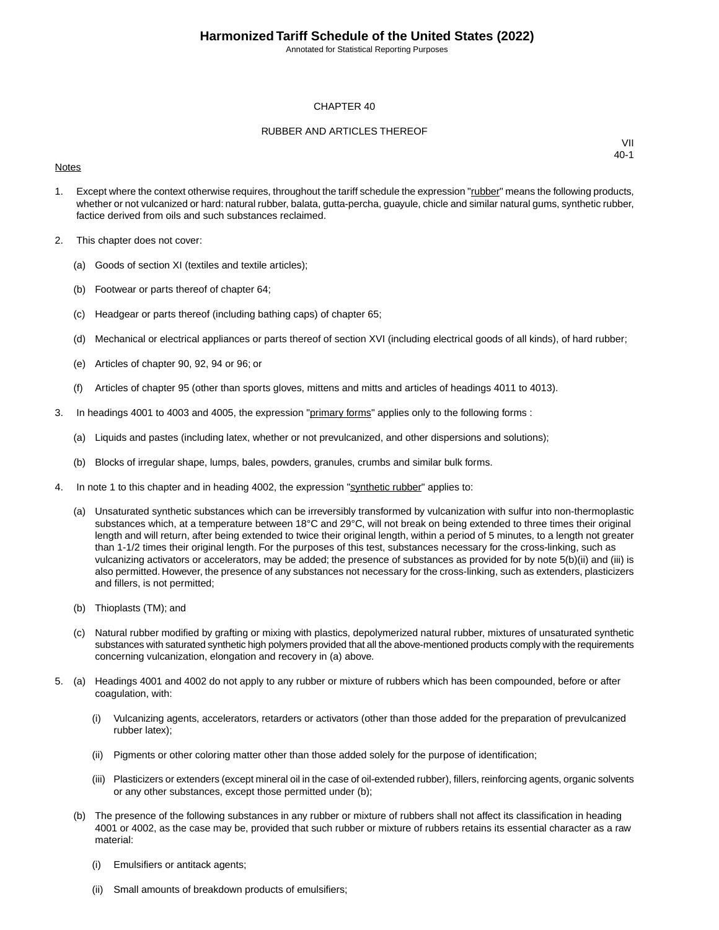Annotated for Statistical Reporting Purposes

#### CHAPTER 40

#### RUBBER AND ARTICLES THEREOF

#### **Notes**

- 1. Except where the context otherwise requires, throughout the tariff schedule the expression "rubber" means the following products, whether or not vulcanized or hard: natural rubber, balata, gutta-percha, guayule, chicle and similar natural gums, synthetic rubber, factice derived from oils and such substances reclaimed.
- 2. This chapter does not cover:
	- (a) Goods of section XI (textiles and textile articles);
	- (b) Footwear or parts thereof of chapter 64;
	- (c) Headgear or parts thereof (including bathing caps) of chapter 65;
	- (d) Mechanical or electrical appliances or parts thereof of section XVI (including electrical goods of all kinds), of hard rubber;
	- (e) Articles of chapter 90, 92, 94 or 96; or
	- (f) Articles of chapter 95 (other than sports gloves, mittens and mitts and articles of headings 4011 to 4013).
- 3. In headings 4001 to 4003 and 4005, the expression "primary forms" applies only to the following forms :
	- (a) Liquids and pastes (including latex, whether or not prevulcanized, and other dispersions and solutions);
	- (b) Blocks of irregular shape, lumps, bales, powders, granules, crumbs and similar bulk forms.
- 4. In note 1 to this chapter and in heading 4002, the expression "synthetic rubber" applies to:
	- (a) Unsaturated synthetic substances which can be irreversibly transformed by vulcanization with sulfur into non-thermoplastic substances which, at a temperature between 18°C and 29°C, will not break on being extended to three times their original length and will return, after being extended to twice their original length, within a period of 5 minutes, to a length not greater than 1-1/2 times their original length. For the purposes of this test, substances necessary for the cross-linking, such as vulcanizing activators or accelerators, may be added; the presence of substances as provided for by note 5(b)(ii) and (iii) is also permitted. However, the presence of any substances not necessary for the cross-linking, such as extenders, plasticizers and fillers, is not permitted;
	- (b) Thioplasts (TM); and
	- (c) Natural rubber modified by grafting or mixing with plastics, depolymerized natural rubber, mixtures of unsaturated synthetic substances with saturated synthetic high polymers provided that all the above-mentioned products comply with the requirements concerning vulcanization, elongation and recovery in (a) above.
- 5. (a) Headings 4001 and 4002 do not apply to any rubber or mixture of rubbers which has been compounded, before or after coagulation, with:
	- (i) Vulcanizing agents, accelerators, retarders or activators (other than those added for the preparation of prevulcanized rubber latex);
	- (ii) Pigments or other coloring matter other than those added solely for the purpose of identification;
	- (iii) Plasticizers or extenders (except mineral oil in the case of oil-extended rubber), fillers, reinforcing agents, organic solvents or any other substances, except those permitted under (b);
	- (b) The presence of the following substances in any rubber or mixture of rubbers shall not affect its classification in heading 4001 or 4002, as the case may be, provided that such rubber or mixture of rubbers retains its essential character as a raw material:
		- (i) Emulsifiers or antitack agents;
		- (ii) Small amounts of breakdown products of emulsifiers;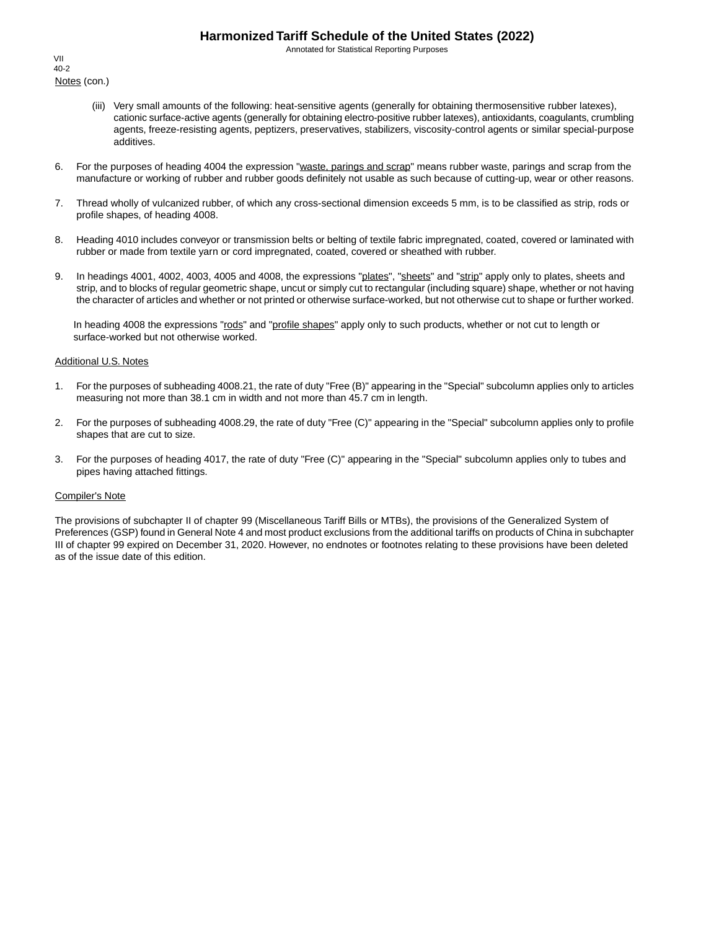Annotated for Statistical Reporting Purposes

Notes (con.) VII 40-2

- (iii) Very small amounts of the following: heat-sensitive agents (generally for obtaining thermosensitive rubber latexes), cationic surface-active agents (generally for obtaining electro-positive rubber latexes), antioxidants, coagulants, crumbling agents, freeze-resisting agents, peptizers, preservatives, stabilizers, viscosity-control agents or similar special-purpose additives.
- 6. For the purposes of heading 4004 the expression "waste, parings and scrap" means rubber waste, parings and scrap from the manufacture or working of rubber and rubber goods definitely not usable as such because of cutting-up, wear or other reasons.
- 7. Thread wholly of vulcanized rubber, of which any cross-sectional dimension exceeds 5 mm, is to be classified as strip, rods or profile shapes, of heading 4008.
- 8. Heading 4010 includes conveyor or transmission belts or belting of textile fabric impregnated, coated, covered or laminated with rubber or made from textile yarn or cord impregnated, coated, covered or sheathed with rubber.
- 9. In headings 4001, 4002, 4003, 4005 and 4008, the expressions "plates", "sheets" and "strip" apply only to plates, sheets and strip, and to blocks of regular geometric shape, uncut or simply cut to rectangular (including square) shape, whether or not having the character of articles and whether or not printed or otherwise surface-worked, but not otherwise cut to shape or further worked.

In heading 4008 the expressions "rods" and "profile shapes" apply only to such products, whether or not cut to length or surface-worked but not otherwise worked.

#### Additional U.S. Notes

- 1. For the purposes of subheading 4008.21, the rate of duty "Free (B)" appearing in the "Special" subcolumn applies only to articles measuring not more than 38.1 cm in width and not more than 45.7 cm in length.
- 2. For the purposes of subheading 4008.29, the rate of duty "Free (C)" appearing in the "Special" subcolumn applies only to profile shapes that are cut to size.
- 3. For the purposes of heading 4017, the rate of duty "Free (C)" appearing in the "Special" subcolumn applies only to tubes and pipes having attached fittings.

#### Compiler's Note

The provisions of subchapter II of chapter 99 (Miscellaneous Tariff Bills or MTBs), the provisions of the Generalized System of Preferences (GSP) found in General Note 4 and most product exclusions from the additional tariffs on products of China in subchapter III of chapter 99 expired on December 31, 2020. However, no endnotes or footnotes relating to these provisions have been deleted as of the issue date of this edition.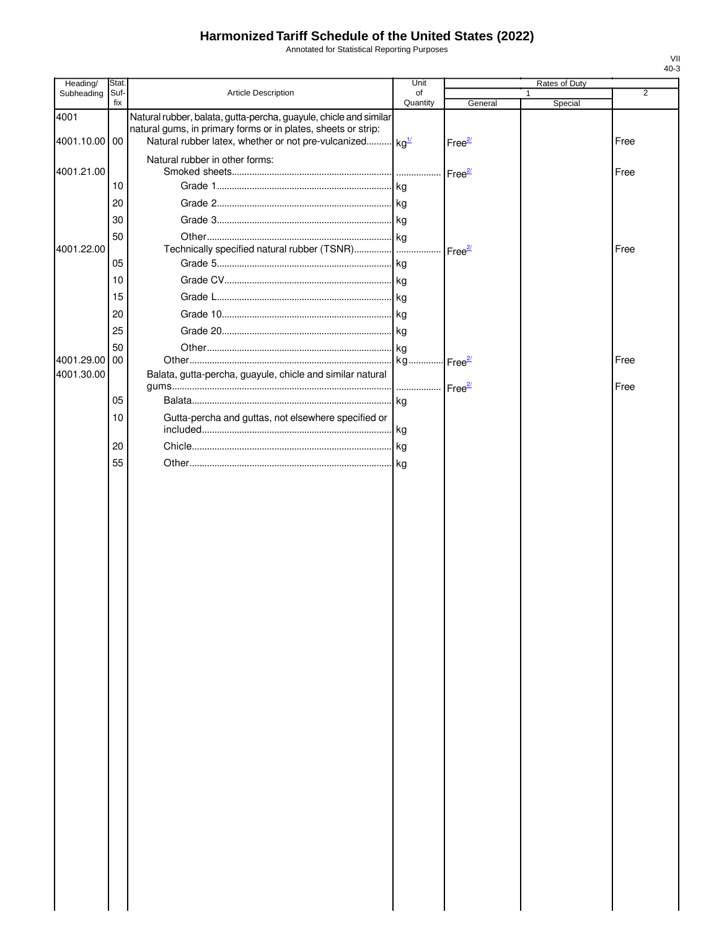Annotated for Statistical Reporting Purposes

| Heading/              | Stat.       |                                                                                                                                                                                                            | Unit           |                     | Rates of Duty |      |
|-----------------------|-------------|------------------------------------------------------------------------------------------------------------------------------------------------------------------------------------------------------------|----------------|---------------------|---------------|------|
| Subheading            | Suf-<br>fix | Article Description                                                                                                                                                                                        | of<br>Quantity | General             | Special       | 2    |
| 4001<br>4001.10.00 00 |             | Natural rubber, balata, gutta-percha, guayule, chicle and similar<br>natural gums, in primary forms or in plates, sheets or strip:<br>Natural rubber latex, whether or not pre-vulcanized kg <sup>1/</sup> |                | Free <sup>2/</sup>  |               | Free |
| 4001.21.00            |             | Natural rubber in other forms:                                                                                                                                                                             |                | Free $\frac{2}{2}$  |               | Free |
|                       | 10          |                                                                                                                                                                                                            |                |                     |               |      |
|                       | 20          |                                                                                                                                                                                                            |                |                     |               |      |
|                       | 30          |                                                                                                                                                                                                            |                |                     |               |      |
| 4001.22.00            | 50          | Technically specified natural rubber (TSNR)                                                                                                                                                                |                |                     |               | Free |
|                       | 05          |                                                                                                                                                                                                            |                | Free <sup>27</sup>  |               |      |
|                       | 10          |                                                                                                                                                                                                            |                |                     |               |      |
|                       | 15          |                                                                                                                                                                                                            |                |                     |               |      |
|                       | 20          |                                                                                                                                                                                                            |                |                     |               |      |
|                       | 25          |                                                                                                                                                                                                            |                |                     |               |      |
|                       | 50          |                                                                                                                                                                                                            |                |                     |               |      |
| 4001.29.00            | <b>100</b>  |                                                                                                                                                                                                            | kg             | ·Free <sup>2/</sup> |               | Free |
| 4001.30.00            |             | Balata, gutta-percha, guayule, chicle and similar natural                                                                                                                                                  |                |                     |               | Free |
|                       | 05          |                                                                                                                                                                                                            |                |                     |               |      |
|                       | 10          | Gutta-percha and guttas, not elsewhere specified or                                                                                                                                                        |                |                     |               |      |
|                       | 20          |                                                                                                                                                                                                            |                |                     |               |      |
|                       | 55          |                                                                                                                                                                                                            |                |                     |               |      |
|                       |             |                                                                                                                                                                                                            |                |                     |               |      |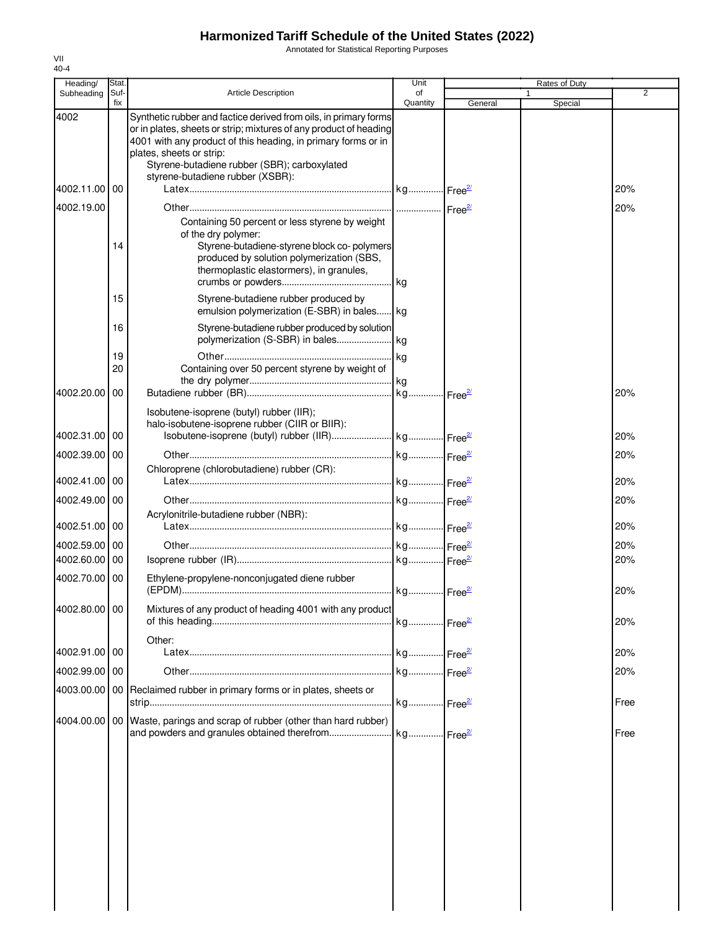Annotated for Statistical Reporting Purposes

| Heading/      | Stat.       |                                                                                                                                                                                                                                                                                    | Unit           |         | Rates of Duty |                |
|---------------|-------------|------------------------------------------------------------------------------------------------------------------------------------------------------------------------------------------------------------------------------------------------------------------------------------|----------------|---------|---------------|----------------|
| Subheading    | Suf-<br>fix | <b>Article Description</b>                                                                                                                                                                                                                                                         | of<br>Quantity | General | 1<br>Special  | $\overline{2}$ |
| 4002          |             | Synthetic rubber and factice derived from oils, in primary forms<br>or in plates, sheets or strip; mixtures of any product of heading<br>4001 with any product of this heading, in primary forms or in<br>plates, sheets or strip:<br>Styrene-butadiene rubber (SBR); carboxylated |                |         |               |                |
|               |             | styrene-butadiene rubber (XSBR):                                                                                                                                                                                                                                                   |                |         |               |                |
| 4002.11.00 00 |             |                                                                                                                                                                                                                                                                                    |                |         |               | 20%            |
| 4002.19.00    | 14          | Containing 50 percent or less styrene by weight<br>of the dry polymer:<br>Styrene-butadiene-styrene block co-polymers<br>produced by solution polymerization (SBS,<br>thermoplastic elastormers), in granules,                                                                     |                |         |               | 20%            |
|               | 15          | Styrene-butadiene rubber produced by<br>emulsion polymerization (E-SBR) in bales kg                                                                                                                                                                                                |                |         |               |                |
|               | 16<br>19    | Styrene-butadiene rubber produced by solution                                                                                                                                                                                                                                      |                |         |               |                |
|               | 20          | Containing over 50 percent styrene by weight of                                                                                                                                                                                                                                    |                |         |               |                |
| 4002.20.00 00 |             |                                                                                                                                                                                                                                                                                    |                |         |               | 20%            |
|               |             | Isobutene-isoprene (butyl) rubber (IIR);<br>halo-isobutene-isoprene rubber (CIIR or BIIR):                                                                                                                                                                                         |                |         |               |                |
| 4002.31.00 00 |             |                                                                                                                                                                                                                                                                                    |                |         |               | 20%            |
| 4002.39.00 00 |             |                                                                                                                                                                                                                                                                                    |                |         |               | 20%            |
| 4002.41.00 00 |             | Chloroprene (chlorobutadiene) rubber (CR):                                                                                                                                                                                                                                         |                |         |               | 20%            |
| 4002.49.00 00 |             |                                                                                                                                                                                                                                                                                    |                |         |               | 20%            |
| 4002.51.00 00 |             | Acrylonitrile-butadiene rubber (NBR):                                                                                                                                                                                                                                              |                |         |               | 20%            |
| 4002.59.00 00 |             |                                                                                                                                                                                                                                                                                    |                |         |               | 20%            |
| 4002.60.00 00 |             |                                                                                                                                                                                                                                                                                    |                |         |               | 20%            |
| 4002.70.00 00 |             | Ethylene-propylene-nonconjugated diene rubber                                                                                                                                                                                                                                      |                |         |               | 20%            |
| 4002.80.00 00 |             | Mixtures of any product of heading 4001 with any product                                                                                                                                                                                                                           |                |         |               | 20%            |
| 4002.91.00 00 |             | Other:                                                                                                                                                                                                                                                                             |                |         |               | 20%            |
|               |             |                                                                                                                                                                                                                                                                                    |                |         |               |                |
| 4002.99.00 00 |             | 4003.00.00 00 Reclaimed rubber in primary forms or in plates, sheets or                                                                                                                                                                                                            |                |         |               | 20%            |
|               |             | 4004.00.00 00 Waste, parings and scrap of rubber (other than hard rubber)                                                                                                                                                                                                          |                |         |               | Free           |
|               |             |                                                                                                                                                                                                                                                                                    |                |         |               | Free           |
|               |             |                                                                                                                                                                                                                                                                                    |                |         |               |                |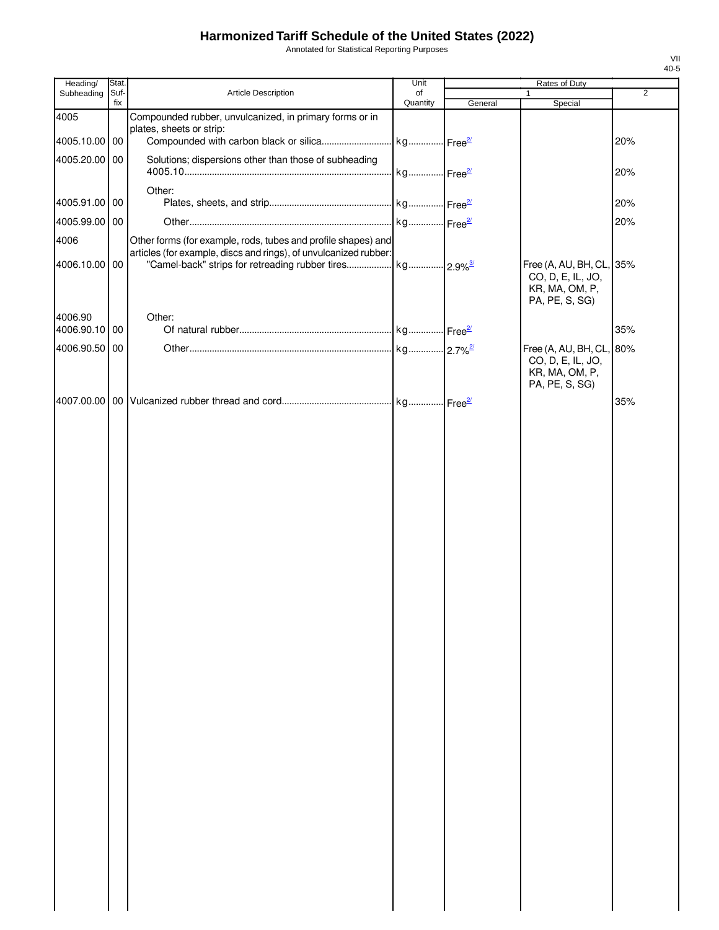Annotated for Statistical Reporting Purposes

| Heading/                 | Stat.       |                                                                                                                                             | Unit           |         | Rates of Duty                                         |                |
|--------------------------|-------------|---------------------------------------------------------------------------------------------------------------------------------------------|----------------|---------|-------------------------------------------------------|----------------|
| Subheading               | Suf-<br>fix | Article Description                                                                                                                         | of<br>Quantity | General | Special                                               | $\overline{2}$ |
| 4005                     |             | Compounded rubber, unvulcanized, in primary forms or in                                                                                     |                |         |                                                       |                |
| 4005.10.00 00            |             | plates, sheets or strip:                                                                                                                    |                |         |                                                       | 20%            |
| 4005.20.00 00            |             | Solutions; dispersions other than those of subheading                                                                                       |                |         |                                                       | 20%            |
| 4005.91.00 00            |             | Other:                                                                                                                                      |                |         |                                                       | 20%            |
| 4005.99.00 00            |             |                                                                                                                                             |                |         |                                                       | 20%            |
| 4006                     |             | Other forms (for example, rods, tubes and profile shapes) and                                                                               |                |         |                                                       |                |
| 4006.10.00 00            |             | articles (for example, discs and rings), of unvulcanized rubber:<br>"Camel-back" strips for retreading rubber tires  kg  2.9% <sup>3/</sup> |                |         | Free (A, AU, BH, CL, 35%<br>CO, D, E, IL, JO,         |                |
|                          |             |                                                                                                                                             |                |         | KR, MA, OM, P,<br>PA, PE, S, SG)                      |                |
| 4006.90<br>4006.90.10 00 |             | Other:                                                                                                                                      |                |         |                                                       | 35%            |
| 4006.90.50 00            |             |                                                                                                                                             |                |         | Free (A, AU, BH, CL, 80%                              |                |
|                          |             |                                                                                                                                             |                |         | CO, D, E, IL, JO,<br>KR, MA, OM, P,<br>PA, PE, S, SG) |                |
|                          |             |                                                                                                                                             |                |         |                                                       | 35%            |
|                          |             |                                                                                                                                             |                |         |                                                       |                |
|                          |             |                                                                                                                                             |                |         |                                                       |                |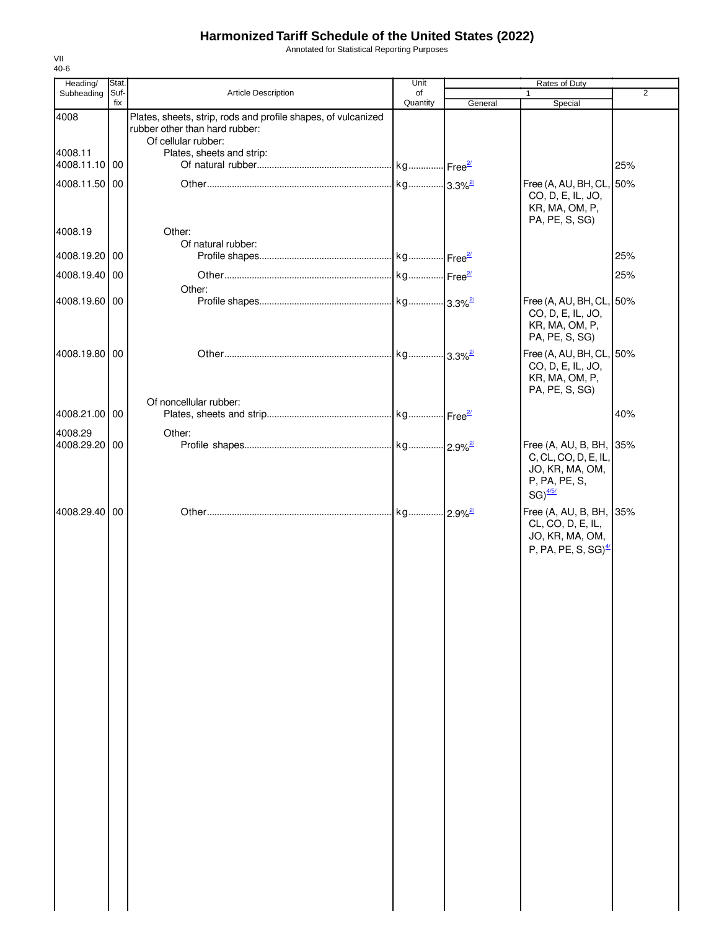Annotated for Statistical Reporting Purposes

| Heading/      | Stat.       |                                                                                                 | Unit           |         | Rates of Duty                                                                                                |                |
|---------------|-------------|-------------------------------------------------------------------------------------------------|----------------|---------|--------------------------------------------------------------------------------------------------------------|----------------|
| Subheading    | Suf-<br>fix | <b>Article Description</b>                                                                      | of<br>Quantity |         | $\mathbf{1}$                                                                                                 | $\overline{2}$ |
| 4008          |             | Plates, sheets, strip, rods and profile shapes, of vulcanized<br>rubber other than hard rubber: |                | General | Special                                                                                                      |                |
| 4008.11       |             | Of cellular rubber:<br>Plates, sheets and strip:                                                |                |         |                                                                                                              |                |
| 4008.11.10 00 |             |                                                                                                 |                |         |                                                                                                              | 25%            |
| 4008.11.50 00 |             |                                                                                                 |                |         | Free (A, AU, BH, CL, 50%<br>CO, D, E, IL, JO,<br>KR, MA, OM, P,<br>PA, PE, S, SG)                            |                |
| 4008.19       |             | Other:<br>Of natural rubber:                                                                    |                |         |                                                                                                              |                |
| 4008.19.20 00 |             |                                                                                                 |                |         |                                                                                                              | 25%            |
| 4008.19.40 00 |             | Other:                                                                                          |                |         |                                                                                                              | 25%            |
| 4008.19.60 00 |             |                                                                                                 |                |         | Free (A, AU, BH, CL, 50%<br>CO, D, E, IL, JO,<br>KR, MA, OM, P,<br>PA, PE, S, SG)                            |                |
| 4008.19.80 00 |             |                                                                                                 |                |         | Free (A, AU, BH, CL, 50%<br>CO, D, E, IL, JO,<br>KR, MA, OM, P,<br>PA, PE, S, SG)                            |                |
| 4008.21.00 00 |             | Of noncellular rubber:                                                                          |                |         |                                                                                                              | 40%            |
| 4008.29       |             | Other:                                                                                          |                |         |                                                                                                              |                |
| 4008.29.20 00 |             |                                                                                                 |                |         | Free (A, AU, B, BH, 35%<br>C, CL, CO, D, E, IL,<br>JO, KR, MA, OM,<br>P, PA, PE, S,<br>$SG)$ <sup>4/5/</sup> |                |
| 4008.29.40 00 |             |                                                                                                 |                |         | Free (A, AU, B, BH, 35%<br>CL, CO, D, E, IL,<br>JO, KR, MA, OM,<br>P, PA, PE, S, SG) $\frac{4}{3}$           |                |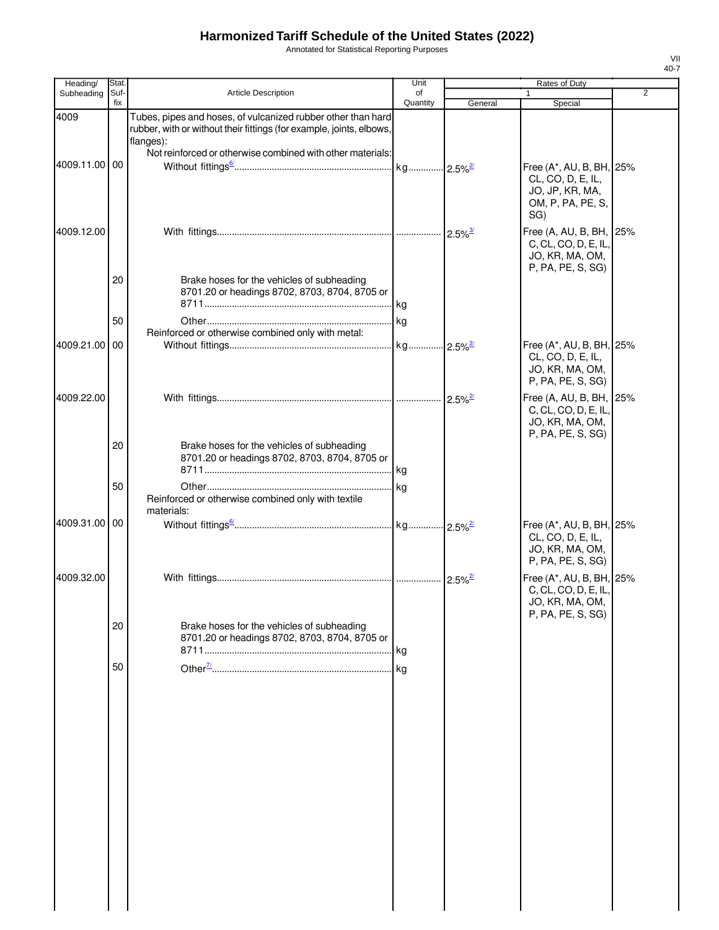Annotated for Statistical Reporting Purposes

| Heading/      | Stat.       |                                                                                                                                                                                                                 | Unit           |                            | Rates of Duty                                                                                |                |
|---------------|-------------|-----------------------------------------------------------------------------------------------------------------------------------------------------------------------------------------------------------------|----------------|----------------------------|----------------------------------------------------------------------------------------------|----------------|
| Subheading    | Suf-<br>fix | Article Description                                                                                                                                                                                             | of<br>Quantity | General                    | $\mathbf{1}$<br>Special                                                                      | $\overline{2}$ |
| 4009          |             | Tubes, pipes and hoses, of vulcanized rubber other than hard<br>rubber, with or without their fittings (for example, joints, elbows,<br>flanges):<br>Not reinforced or otherwise combined with other materials: |                |                            |                                                                                              |                |
| 4009.11.00    | 00          |                                                                                                                                                                                                                 |                |                            | Free (A*, AU, B, BH, 25%<br>CL, CO, D, E, IL,<br>JO, JP, KR, MA,<br>OM, P, PA, PE, S,<br>SG) |                |
| 4009.12.00    |             |                                                                                                                                                                                                                 |                | $\cdot$ 2.5% $\frac{3}{2}$ | Free (A, AU, B, BH, 25%<br>C, CL, CO, D, E, IL,<br>JO, KR, MA, OM,<br>P, PA, PE, S, SG)      |                |
|               | 20          | Brake hoses for the vehicles of subheading<br>8701.20 or headings 8702, 8703, 8704, 8705 or                                                                                                                     |                |                            |                                                                                              |                |
|               | 50          |                                                                                                                                                                                                                 |                |                            |                                                                                              |                |
| 4009.21.00    | 00          | Reinforced or otherwise combined only with metal:                                                                                                                                                               |                |                            | Free (A*, AU, B, BH, 25%<br>CL, CO, D, E, IL,<br>JO, KR, MA, OM,                             |                |
| 4009.22.00    |             |                                                                                                                                                                                                                 |                | $\cdot$ 2.5% $\frac{2}{2}$ | P, PA, PE, S, SG)<br>Free (A, AU, B, BH, 25%<br>C, CL, CO, D, E, IL,<br>JO, KR, MA, OM,      |                |
|               | 20          | Brake hoses for the vehicles of subheading<br>8701.20 or headings 8702, 8703, 8704, 8705 or                                                                                                                     |                |                            | P, PA, PE, S, SG)                                                                            |                |
|               | 50          | Reinforced or otherwise combined only with textile<br>materials:                                                                                                                                                |                |                            |                                                                                              |                |
| 4009.31.00 00 |             |                                                                                                                                                                                                                 |                |                            | Free (A*, AU, B, BH, 25%<br>CL, CO, D, E, IL,<br>JO, KR, MA, OM,<br>P, PA, PE, S, SG)        |                |
| 4009.32.00    |             |                                                                                                                                                                                                                 |                | $2.5\%$ <sup>2/</sup>      | Free (A*, AU, B, BH, 25%<br>C, CL, CO, D, E, IL,<br>JO, KR, MA, OM,<br>P, PA, PE, S, SG)     |                |
|               | 20          | Brake hoses for the vehicles of subheading<br>8701.20 or headings 8702, 8703, 8704, 8705 or                                                                                                                     |                |                            |                                                                                              |                |
|               | 50          |                                                                                                                                                                                                                 |                |                            |                                                                                              |                |
|               |             |                                                                                                                                                                                                                 |                |                            |                                                                                              |                |
|               |             |                                                                                                                                                                                                                 |                |                            |                                                                                              |                |
|               |             |                                                                                                                                                                                                                 |                |                            |                                                                                              |                |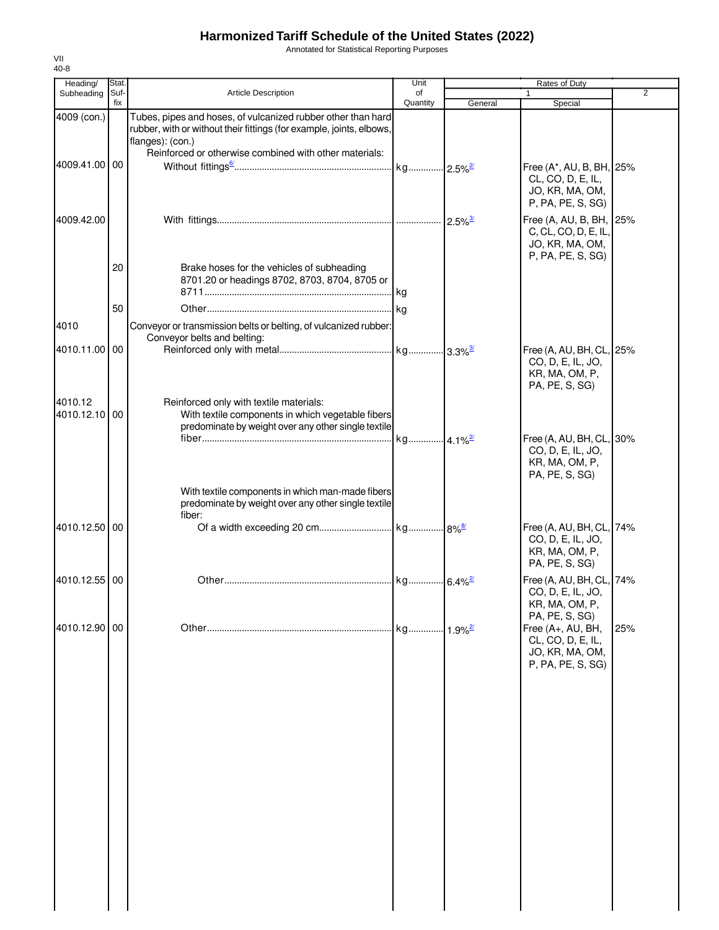Annotated for Statistical Reporting Purposes

| Heading/                 | Stat.       |                                                                                                                                                          | Unit           |                        | Rates of Duty                                                                           |                |
|--------------------------|-------------|----------------------------------------------------------------------------------------------------------------------------------------------------------|----------------|------------------------|-----------------------------------------------------------------------------------------|----------------|
| Subheading               | Suf-<br>fix | Article Description                                                                                                                                      | of<br>Quantity | General                | 1<br>Special                                                                            | $\overline{2}$ |
| 4009 (con.)              |             | Tubes, pipes and hoses, of vulcanized rubber other than hard<br>rubber, with or without their fittings (for example, joints, elbows,<br>flanges): (con.) |                |                        |                                                                                         |                |
| 4009.41.00 00            |             | Reinforced or otherwise combined with other materials:                                                                                                   |                |                        | Free (A*, AU, B, BH, 25%                                                                |                |
|                          |             |                                                                                                                                                          |                |                        | CL, CO, D, E, IL,<br>JO, KR, MA, OM,<br>P, PA, PE, S, SG)                               |                |
| 4009.42.00               |             |                                                                                                                                                          |                |                        | Free (A, AU, B, BH, 25%<br>C, CL, CO, D, E, IL,<br>JO, KR, MA, OM,<br>P, PA, PE, S, SG) |                |
|                          | 20          | Brake hoses for the vehicles of subheading<br>8701.20 or headings 8702, 8703, 8704, 8705 or                                                              | kg             |                        |                                                                                         |                |
|                          | 50          |                                                                                                                                                          |                |                        |                                                                                         |                |
| 4010                     |             | Conveyor or transmission belts or belting, of vulcanized rubber:<br>Conveyor belts and belting:                                                          |                |                        |                                                                                         |                |
| 4010.11.00 00            |             |                                                                                                                                                          |                |                        | Free (A, AU, BH, CL, 25%<br>CO, D, E, IL, JO,<br>KR, MA, OM, P,<br>PA, PE, S, SG)       |                |
| 4010.12<br>4010.12.10 00 |             | Reinforced only with textile materials:<br>With textile components in which vegetable fibers<br>predominate by weight over any other single textile      |                |                        |                                                                                         |                |
|                          |             |                                                                                                                                                          |                |                        | Free (A, AU, BH, CL, 30%<br>CO, D, E, IL, JO,<br>KR, MA, OM, P,<br>PA, PE, S, SG)       |                |
|                          |             | With textile components in which man-made fibers<br>predominate by weight over any other single textile<br>fiber:                                        |                |                        |                                                                                         |                |
| 4010.12.50 00            |             |                                                                                                                                                          |                |                        | Free (A, AU, BH, CL, 74%<br>CO, D, E, IL, JO,<br>KR, MA, OM, P,<br>PA, PE, S, SG)       |                |
| 4010.12.55 00            |             |                                                                                                                                                          |                | $.6.4\%$ <sup>2/</sup> | Free (A, AU, BH, CL, 74%<br>CO, D, E, IL, JO,<br>KR, MA, OM, P,<br>PA, PE, S, SG)       |                |
| 4010.12.90               | 00          |                                                                                                                                                          | kg             | $1.9\%$ <sup>2/</sup>  | Free (A+, AU, BH,<br>CL, CO, D, E, IL,<br>JO, KR, MA, OM,<br>P, PA, PE, S, SG)          | 25%            |
|                          |             |                                                                                                                                                          |                |                        |                                                                                         |                |
|                          |             |                                                                                                                                                          |                |                        |                                                                                         |                |
|                          |             |                                                                                                                                                          |                |                        |                                                                                         |                |
|                          |             |                                                                                                                                                          |                |                        |                                                                                         |                |
|                          |             |                                                                                                                                                          |                |                        |                                                                                         |                |
|                          |             |                                                                                                                                                          |                |                        |                                                                                         |                |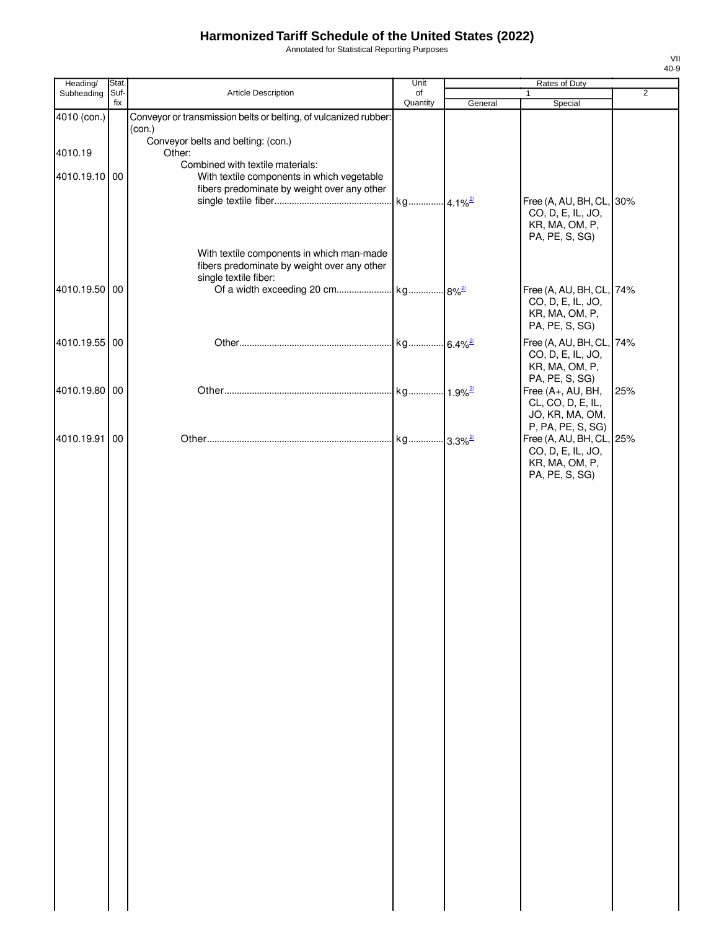Annotated for Statistical Reporting Purposes

| Heading/                 | Stat. |                                                                                                                                                                                         | Unit     |         | Rates of Duty                                                                                                         |                |
|--------------------------|-------|-----------------------------------------------------------------------------------------------------------------------------------------------------------------------------------------|----------|---------|-----------------------------------------------------------------------------------------------------------------------|----------------|
| Subheading               | Suf-  | Article Description                                                                                                                                                                     | of       |         | $\mathbf{1}$                                                                                                          | $\overline{2}$ |
| 4010 (con.)              | fix   | Conveyor or transmission belts or belting, of vulcanized rubber:                                                                                                                        | Quantity | General | Special                                                                                                               |                |
| 4010.19<br>4010.19.10 00 |       | (con.)<br>Conveyor belts and belting: (con.)<br>Other:<br>Combined with textile materials:<br>With textile components in which vegetable<br>fibers predominate by weight over any other |          |         | Free (A, AU, BH, CL, 30%<br>CO, D, E, IL, JO,                                                                         |                |
| 4010.19.50 00            |       | With textile components in which man-made<br>fibers predominate by weight over any other<br>single textile fiber:                                                                       |          |         | KR, MA, OM, P,<br>PA, PE, S, SG)<br>Free (A, AU, BH, CL, 74%<br>CO, D, E, IL, JO,<br>KR, MA, OM, P,<br>PA, PE, S, SG) |                |
| 4010.19.55 00            |       |                                                                                                                                                                                         |          |         | Free (A, AU, BH, CL, 74%<br>CO, D, E, IL, JO,<br>KR, MA, OM, P,                                                       |                |
| 4010.19.80 00            |       |                                                                                                                                                                                         |          |         | PA, PE, S, SG)<br>Free (A+, AU, BH,<br>CL, CO, D, E, IL,<br>JO, KR, MA, OM,                                           | 25%            |
| 4010.19.91               | 00    |                                                                                                                                                                                         |          |         | P, PA, PE, S, SG)<br>Free (A, AU, BH, CL, 25%<br>CO, D, E, IL, JO,<br>KR, MA, OM, P,<br>PA, PE, S, SG)                |                |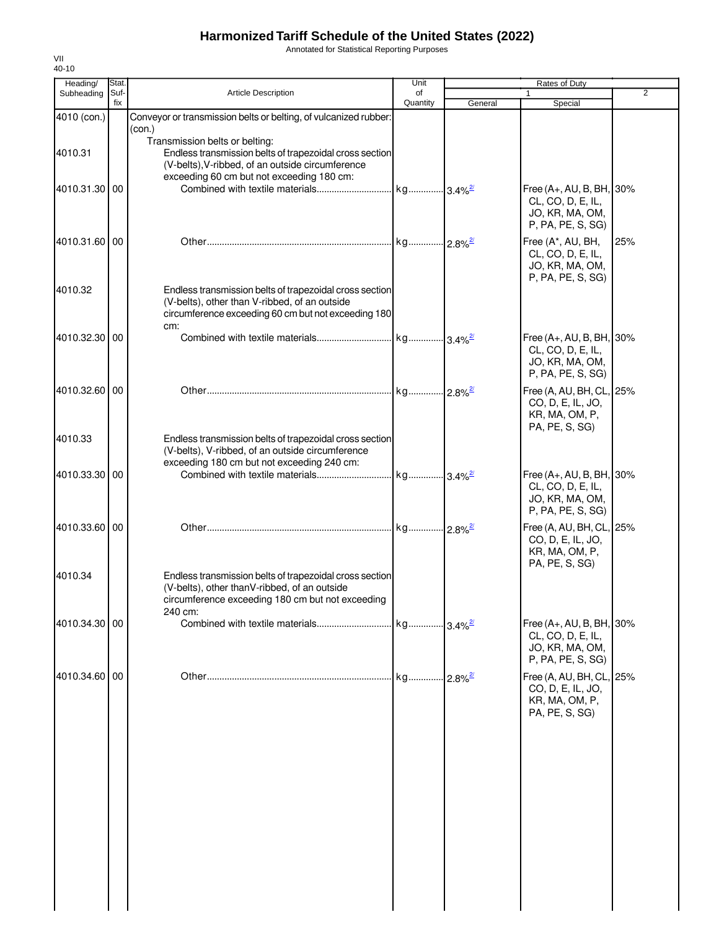Annotated for Statistical Reporting Purposes

| Heading/      | Stat.       |                                                                                                          | Unit           |         | Rates of Duty                                 |                |
|---------------|-------------|----------------------------------------------------------------------------------------------------------|----------------|---------|-----------------------------------------------|----------------|
| Subheading    | Suf-<br>fix | <b>Article Description</b>                                                                               | of<br>Quantity | General | 1<br>Special                                  | $\overline{2}$ |
| 4010 (con.)   |             | Conveyor or transmission belts or belting, of vulcanized rubber:                                         |                |         |                                               |                |
|               |             | (con.)                                                                                                   |                |         |                                               |                |
|               |             | Transmission belts or belting:                                                                           |                |         |                                               |                |
| 4010.31       |             | Endless transmission belts of trapezoidal cross section                                                  |                |         |                                               |                |
|               |             | (V-belts), V-ribbed, of an outside circumference                                                         |                |         |                                               |                |
| 4010.31.30 00 |             | exceeding 60 cm but not exceeding 180 cm:                                                                |                |         | Free (A+, AU, B, BH, 30%                      |                |
|               |             |                                                                                                          |                |         | CL, CO, D, E, IL,                             |                |
|               |             |                                                                                                          |                |         | JO, KR, MA, OM,                               |                |
|               |             |                                                                                                          |                |         | P, PA, PE, S, SG)                             |                |
| 4010.31.60 00 |             |                                                                                                          |                |         | Free (A*, AU, BH,                             | 25%            |
|               |             |                                                                                                          |                |         | CL, CO, D, E, IL,                             |                |
|               |             |                                                                                                          |                |         | JO, KR, MA, OM,                               |                |
|               |             |                                                                                                          |                |         | P, PA, PE, S, SG)                             |                |
| 4010.32       |             | Endless transmission belts of trapezoidal cross section<br>(V-belts), other than V-ribbed, of an outside |                |         |                                               |                |
|               |             | circumference exceeding 60 cm but not exceeding 180                                                      |                |         |                                               |                |
|               |             | cm:                                                                                                      |                |         |                                               |                |
| 4010.32.30 00 |             |                                                                                                          |                |         | Free (A+, AU, B, BH, 30%                      |                |
|               |             |                                                                                                          |                |         | CL, CO, D, E, IL,                             |                |
|               |             |                                                                                                          |                |         | JO, KR, MA, OM,                               |                |
|               |             |                                                                                                          |                |         | P, PA, PE, S, SG)                             |                |
| 4010.32.60 00 |             |                                                                                                          |                |         | Free (A, AU, BH, CL, 25%                      |                |
|               |             |                                                                                                          |                |         | CO, D, E, IL, JO,                             |                |
|               |             |                                                                                                          |                |         | KR, MA, OM, P,<br>PA, PE, S, SG)              |                |
| 4010.33       |             | Endless transmission belts of trapezoidal cross section                                                  |                |         |                                               |                |
|               |             | (V-belts), V-ribbed, of an outside circumference                                                         |                |         |                                               |                |
|               |             | exceeding 180 cm but not exceeding 240 cm:                                                               |                |         |                                               |                |
| 4010.33.30 00 |             |                                                                                                          |                |         | Free (A+, AU, B, BH, 30%                      |                |
|               |             |                                                                                                          |                |         | CL, CO, D, E, IL,                             |                |
|               |             |                                                                                                          |                |         | JO, KR, MA, OM,<br>P, PA, PE, S, SG)          |                |
|               |             |                                                                                                          |                |         |                                               |                |
| 4010.33.60 00 |             |                                                                                                          |                |         | Free (A, AU, BH, CL, 25%                      |                |
|               |             |                                                                                                          |                |         | CO, D, E, IL, JO,<br>KR, MA, OM, P,           |                |
|               |             |                                                                                                          |                |         | PA, PE, S, SG)                                |                |
| 4010.34       |             | Endless transmission belts of trapezoidal cross section                                                  |                |         |                                               |                |
|               |             | (V-belts), other thanV-ribbed, of an outside                                                             |                |         |                                               |                |
|               |             | circumference exceeding 180 cm but not exceeding                                                         |                |         |                                               |                |
|               |             | 240 cm:                                                                                                  |                |         |                                               |                |
| 4010.34.30 00 |             |                                                                                                          |                |         | Free (A+, AU, B, BH, 30%<br>CL, CO, D, E, IL, |                |
|               |             |                                                                                                          |                |         | JO, KR, MA, OM,                               |                |
|               |             |                                                                                                          |                |         | P, PA, PE, S, SG)                             |                |
| 4010.34.60 00 |             |                                                                                                          |                |         | Free (A, AU, BH, CL, 25%                      |                |
|               |             |                                                                                                          |                |         | CO, D, E, IL, JO,                             |                |
|               |             |                                                                                                          |                |         | KR, MA, OM, P,                                |                |
|               |             |                                                                                                          |                |         | PA, PE, S, SG)                                |                |
|               |             |                                                                                                          |                |         |                                               |                |
|               |             |                                                                                                          |                |         |                                               |                |
|               |             |                                                                                                          |                |         |                                               |                |
|               |             |                                                                                                          |                |         |                                               |                |
|               |             |                                                                                                          |                |         |                                               |                |
|               |             |                                                                                                          |                |         |                                               |                |
|               |             |                                                                                                          |                |         |                                               |                |
|               |             |                                                                                                          |                |         |                                               |                |
|               |             |                                                                                                          |                |         |                                               |                |
|               |             |                                                                                                          |                |         |                                               |                |
|               |             |                                                                                                          |                |         |                                               |                |
|               |             |                                                                                                          |                |         |                                               |                |
|               |             |                                                                                                          |                |         |                                               |                |
|               |             |                                                                                                          |                |         |                                               |                |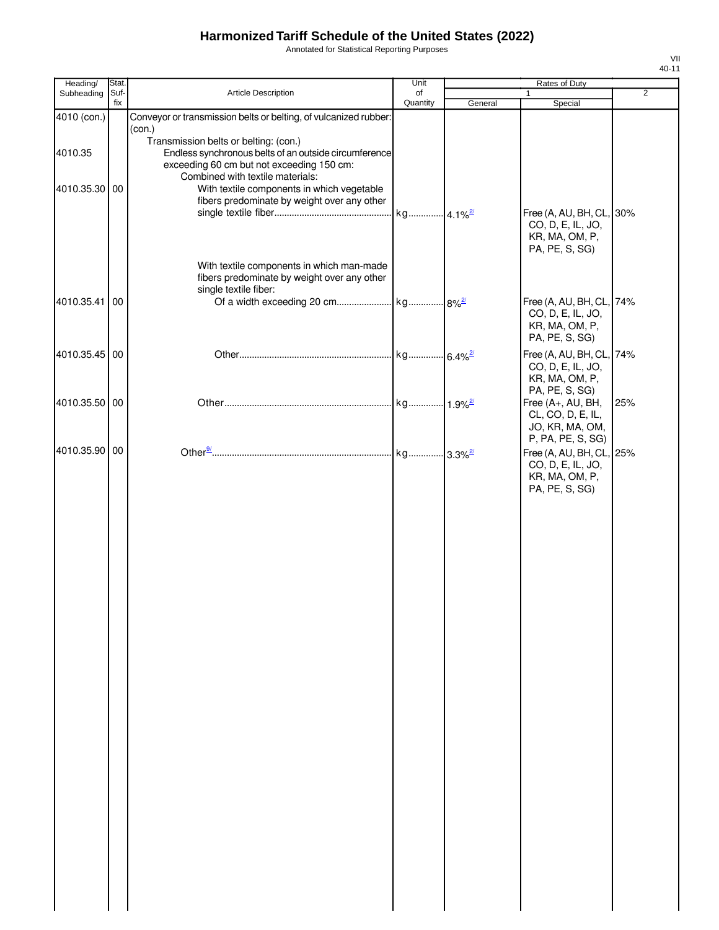Annotated for Statistical Reporting Purposes

| Heading/      | Stat.       |                                                                                                                                                       | Unit           |         | Rates of Duty                                                                     |                |
|---------------|-------------|-------------------------------------------------------------------------------------------------------------------------------------------------------|----------------|---------|-----------------------------------------------------------------------------------|----------------|
| Subheading    | Suf-<br>fix | Article Description                                                                                                                                   | of<br>Quantity | General | 1<br>Special                                                                      | $\overline{2}$ |
| 4010 (con.)   |             | Conveyor or transmission belts or belting, of vulcanized rubber:                                                                                      |                |         |                                                                                   |                |
| 4010.35       |             | (con.)<br>Transmission belts or belting: (con.)<br>Endless synchronous belts of an outside circumference<br>exceeding 60 cm but not exceeding 150 cm: |                |         |                                                                                   |                |
| 4010.35.30    | 00          | Combined with textile materials:<br>With textile components in which vegetable<br>fibers predominate by weight over any other                         | kg 4.1%2       |         | Free (A, AU, BH, CL, 30%                                                          |                |
|               |             | With textile components in which man-made                                                                                                             |                |         | CO, D, E, IL, JO,<br>KR, MA, OM, P,<br>PA, PE, S, SG)                             |                |
| 4010.35.41    | 00          | fibers predominate by weight over any other<br>single textile fiber:                                                                                  |                |         | Free (A, AU, BH, CL, 74%<br>CO, D, E, IL, JO,                                     |                |
| 4010.35.45 00 |             |                                                                                                                                                       |                |         | KR, MA, OM, P,<br>PA, PE, S, SG)<br>Free (A, AU, BH, CL, 74%                      |                |
|               |             |                                                                                                                                                       |                |         | CO, D, E, IL, JO,<br>KR, MA, OM, P,<br>PA, PE, S, SG)                             |                |
| 4010.35.50    | 00          |                                                                                                                                                       |                |         | Free (A+, AU, BH,<br>CL, CO, D, E, IL,<br>JO, KR, MA, OM,<br>P, PA, PE, S, SG)    | 25%            |
| 4010.35.90 00 |             |                                                                                                                                                       |                |         | Free (A, AU, BH, CL, 25%<br>CO, D, E, IL, JO,<br>KR, MA, OM, P,<br>PA, PE, S, SG) |                |
|               |             |                                                                                                                                                       |                |         |                                                                                   |                |
|               |             |                                                                                                                                                       |                |         |                                                                                   |                |
|               |             |                                                                                                                                                       |                |         |                                                                                   |                |
|               |             |                                                                                                                                                       |                |         |                                                                                   |                |
|               |             |                                                                                                                                                       |                |         |                                                                                   |                |
|               |             |                                                                                                                                                       |                |         |                                                                                   |                |
|               |             |                                                                                                                                                       |                |         |                                                                                   |                |
|               |             |                                                                                                                                                       |                |         |                                                                                   |                |
|               |             |                                                                                                                                                       |                |         |                                                                                   |                |
|               |             |                                                                                                                                                       |                |         |                                                                                   |                |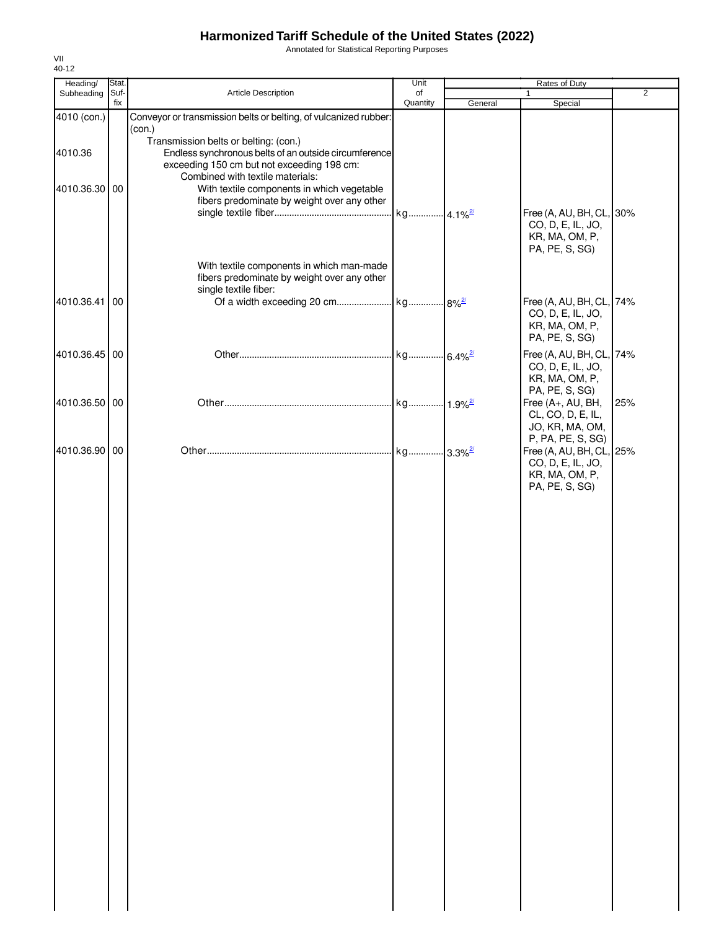Annotated for Statistical Reporting Purposes

| Heading/                 | Stat.       |                                                                                                                                                                                                                                                                               | Unit           |         | Rates of Duty                                                                                    |                |
|--------------------------|-------------|-------------------------------------------------------------------------------------------------------------------------------------------------------------------------------------------------------------------------------------------------------------------------------|----------------|---------|--------------------------------------------------------------------------------------------------|----------------|
| Subheading               | Suf-<br>fix | Article Description                                                                                                                                                                                                                                                           | of<br>Quantity | General | $\mathbf{1}$<br>Special                                                                          | $\overline{2}$ |
| 4010 (con.)              |             | Conveyor or transmission belts or belting, of vulcanized rubber:<br>(con.)                                                                                                                                                                                                    |                |         |                                                                                                  |                |
| 4010.36<br>4010.36.30 00 |             | Transmission belts or belting: (con.)<br>Endless synchronous belts of an outside circumference<br>exceeding 150 cm but not exceeding 198 cm:<br>Combined with textile materials:<br>With textile components in which vegetable<br>fibers predominate by weight over any other |                |         | Free (A, AU, BH, CL, 30%<br>CO, D, E, IL, JO,<br>KR, MA, OM, P,<br>PA, PE, S, SG)                |                |
| 4010.36.41 00            |             | With textile components in which man-made<br>fibers predominate by weight over any other<br>single textile fiber:                                                                                                                                                             |                |         | Free (A, AU, BH, CL, 74%<br>CO, D, E, IL, JO,<br>KR, MA, OM, P,<br>PA, PE, S, SG)                |                |
| 4010.36.45 00            |             |                                                                                                                                                                                                                                                                               |                |         | Free (A, AU, BH, CL, 74%<br>CO, D, E, IL, JO,<br>KR, MA, OM, P,                                  |                |
| 4010.36.50 00            |             |                                                                                                                                                                                                                                                                               |                |         | PA, PE, S, SG)<br>Free (A+, AU, BH,<br>CL, CO, D, E, IL,<br>JO, KR, MA, OM,<br>P, PA, PE, S, SG) | 25%            |
| 4010.36.90 00            |             |                                                                                                                                                                                                                                                                               |                |         | Free (A, AU, BH, CL, 25%<br>CO, D, E, IL, JO,<br>KR, MA, OM, P,<br>PA, PE, S, SG)                |                |
|                          |             |                                                                                                                                                                                                                                                                               |                |         |                                                                                                  |                |
|                          |             |                                                                                                                                                                                                                                                                               |                |         |                                                                                                  |                |
|                          |             |                                                                                                                                                                                                                                                                               |                |         |                                                                                                  |                |
|                          |             |                                                                                                                                                                                                                                                                               |                |         |                                                                                                  |                |
|                          |             |                                                                                                                                                                                                                                                                               |                |         |                                                                                                  |                |
|                          |             |                                                                                                                                                                                                                                                                               |                |         |                                                                                                  |                |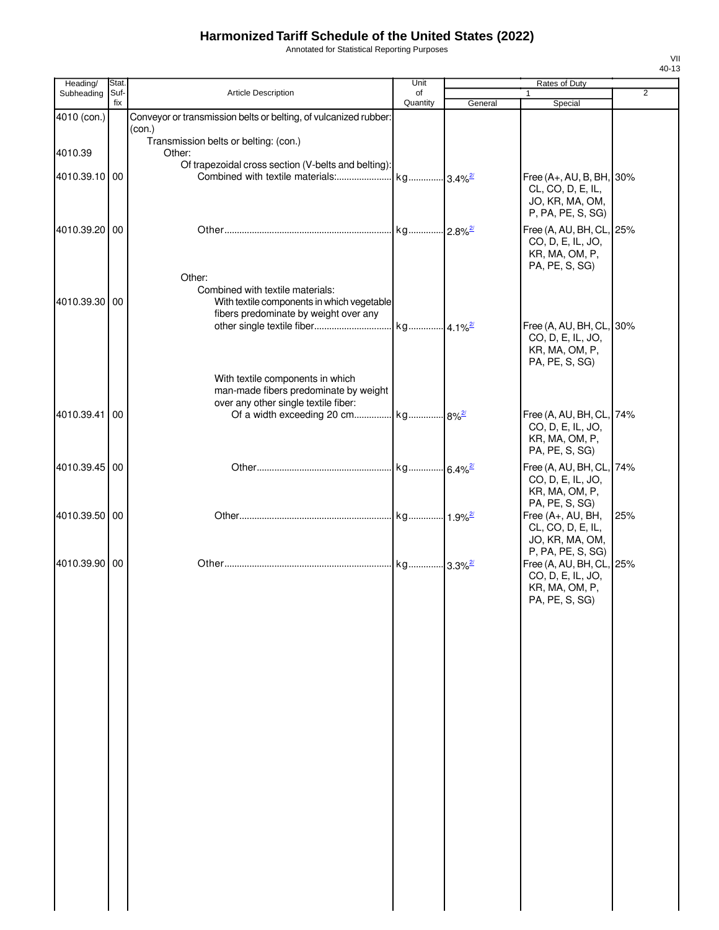Annotated for Statistical Reporting Purposes

| Heading/      | Stat.       |                                                                               | Unit           |         | Rates of Duty                                 |                |
|---------------|-------------|-------------------------------------------------------------------------------|----------------|---------|-----------------------------------------------|----------------|
| Subheading    | Suf-<br>fix | <b>Article Description</b>                                                    | of<br>Quantity | General | $\mathbf{1}$<br>Special                       | $\overline{2}$ |
| 4010 (con.)   |             | Conveyor or transmission belts or belting, of vulcanized rubber:              |                |         |                                               |                |
|               |             | (con.)                                                                        |                |         |                                               |                |
| 4010.39       |             | Transmission belts or belting: (con.)<br>Other:                               |                |         |                                               |                |
|               |             | Of trapezoidal cross section (V-belts and belting):                           |                |         |                                               |                |
| 4010.39.10 00 |             |                                                                               |                |         | Free (A+, AU, B, BH, 30%                      |                |
|               |             |                                                                               |                |         | CL, CO, D, E, IL,<br>JO, KR, MA, OM,          |                |
|               |             |                                                                               |                |         | P, PA, PE, S, SG)                             |                |
| 4010.39.20 00 |             |                                                                               |                |         | Free (A, AU, BH, CL, 25%                      |                |
|               |             |                                                                               |                |         | CO, D, E, IL, JO,                             |                |
|               |             |                                                                               |                |         | KR, MA, OM, P,                                |                |
|               |             | Other:                                                                        |                |         | PA, PE, S, SG)                                |                |
|               |             | Combined with textile materials:                                              |                |         |                                               |                |
| 4010.39.30 00 |             | With textile components in which vegetable                                    |                |         |                                               |                |
|               |             | fibers predominate by weight over any                                         |                |         | Free (A, AU, BH, CL, 30%                      |                |
|               |             |                                                                               |                |         | CO, D, E, IL, JO,                             |                |
|               |             |                                                                               |                |         | KR, MA, OM, P,                                |                |
|               |             |                                                                               |                |         | PA, PE, S, SG)                                |                |
|               |             | With textile components in which                                              |                |         |                                               |                |
|               |             | man-made fibers predominate by weight<br>over any other single textile fiber: |                |         |                                               |                |
| 4010.39.41 00 |             | Of a width exceeding 20 cm kg 8% <sup>2/</sup>                                |                |         | Free (A, AU, BH, CL, 74%                      |                |
|               |             |                                                                               |                |         | CO, D, E, IL, JO,                             |                |
|               |             |                                                                               |                |         | KR, MA, OM, P,                                |                |
|               |             |                                                                               |                |         | PA, PE, S, SG)                                |                |
| 4010.39.45 00 |             |                                                                               |                |         | Free (A, AU, BH, CL, 74%<br>CO, D, E, IL, JO, |                |
|               |             |                                                                               |                |         | KR, MA, OM, P,                                |                |
|               |             |                                                                               |                |         | PA, PE, S, SG)                                |                |
| 4010.39.50 00 |             |                                                                               |                |         | Free (A+, AU, BH,                             | 25%            |
|               |             |                                                                               |                |         | CL, CO, D, E, IL,<br>JO, KR, MA, OM,          |                |
|               |             |                                                                               |                |         | P, PA, PE, S, SG)                             |                |
| 4010.39.90 00 |             |                                                                               |                |         | Free (A, AU, BH, CL, 25%                      |                |
|               |             |                                                                               |                |         | CO, D, E, IL, JO,                             |                |
|               |             |                                                                               |                |         | KR, MA, OM, P,<br>PA, PE, S, SG)              |                |
|               |             |                                                                               |                |         |                                               |                |
|               |             |                                                                               |                |         |                                               |                |
|               |             |                                                                               |                |         |                                               |                |
|               |             |                                                                               |                |         |                                               |                |
|               |             |                                                                               |                |         |                                               |                |
|               |             |                                                                               |                |         |                                               |                |
|               |             |                                                                               |                |         |                                               |                |
|               |             |                                                                               |                |         |                                               |                |
|               |             |                                                                               |                |         |                                               |                |
|               |             |                                                                               |                |         |                                               |                |
|               |             |                                                                               |                |         |                                               |                |
|               |             |                                                                               |                |         |                                               |                |
|               |             |                                                                               |                |         |                                               |                |
|               |             |                                                                               |                |         |                                               |                |
|               |             |                                                                               |                |         |                                               |                |
|               |             |                                                                               |                |         |                                               |                |
|               |             |                                                                               |                |         |                                               |                |
|               |             |                                                                               |                |         |                                               |                |
|               |             |                                                                               |                |         |                                               |                |
|               |             |                                                                               |                |         |                                               |                |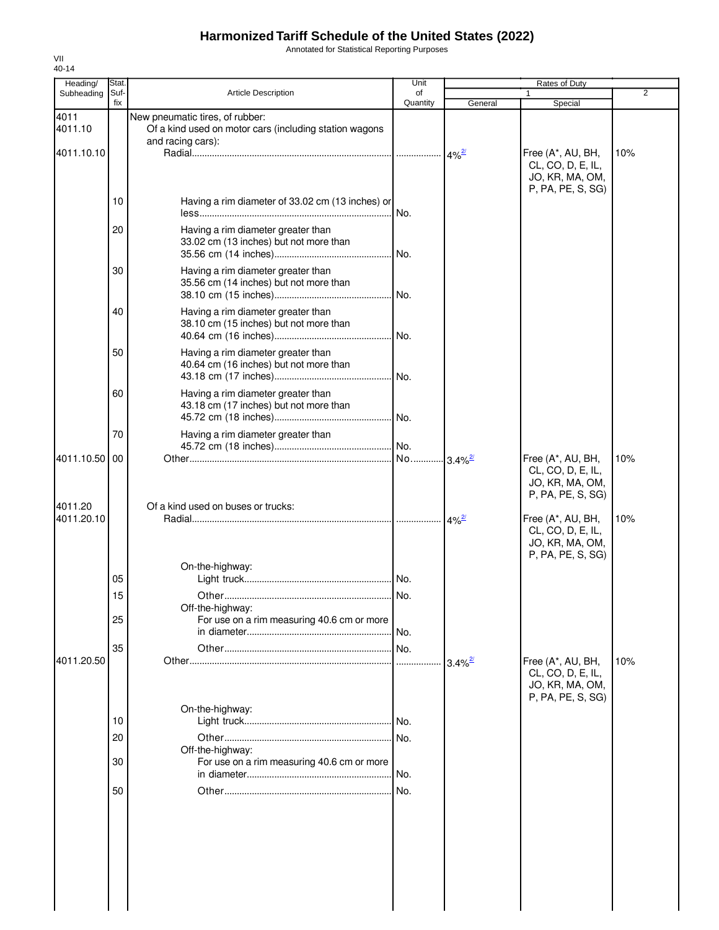Annotated for Statistical Reporting Purposes

| Heading/              | Stat.       |                                                                                                                | Unit           |                       | Rates of Duty                                                                  |                |
|-----------------------|-------------|----------------------------------------------------------------------------------------------------------------|----------------|-----------------------|--------------------------------------------------------------------------------|----------------|
| Subheading            | Suf-<br>fix | <b>Article Description</b>                                                                                     | of<br>Quantity | General               | Special                                                                        | $\overline{2}$ |
| 4011<br>4011.10       |             | New pneumatic tires, of rubber:<br>Of a kind used on motor cars (including station wagons<br>and racing cars): |                |                       |                                                                                |                |
| 4011.10.10            |             |                                                                                                                |                |                       | Free (A*, AU, BH,<br>CL, CO, D, E, IL,<br>JO, KR, MA, OM,<br>P, PA, PE, S, SG) | 10%            |
|                       | 10          | Having a rim diameter of 33.02 cm (13 inches) or                                                               | No.            |                       |                                                                                |                |
|                       | 20          | Having a rim diameter greater than<br>33.02 cm (13 inches) but not more than                                   |                |                       |                                                                                |                |
|                       | 30          | Having a rim diameter greater than<br>35.56 cm (14 inches) but not more than                                   |                |                       |                                                                                |                |
|                       | 40          | Having a rim diameter greater than<br>38.10 cm (15 inches) but not more than                                   |                |                       |                                                                                |                |
|                       | 50          | Having a rim diameter greater than<br>40.64 cm (16 inches) but not more than                                   |                |                       |                                                                                |                |
|                       | 60          | Having a rim diameter greater than<br>43.18 cm (17 inches) but not more than                                   |                |                       |                                                                                |                |
|                       | 70          | Having a rim diameter greater than                                                                             |                |                       |                                                                                |                |
| 4011.10.50 00         |             |                                                                                                                |                |                       | Free (A*, AU, BH,<br>CL, CO, D, E, IL,<br>JO, KR, MA, OM,<br>P, PA, PE, S, SG) | 10%            |
| 4011.20<br>4011.20.10 |             | Of a kind used on buses or trucks:                                                                             |                |                       | Free (A*, AU, BH,<br>CL, CO, D, E, IL,<br>JO, KR, MA, OM,<br>P, PA, PE, S, SG) | 10%            |
|                       | 05          | On-the-highway:                                                                                                |                |                       |                                                                                |                |
|                       | 15          | Off-the-highway:                                                                                               |                |                       |                                                                                |                |
|                       | 25<br>35    | For use on a rim measuring 40.6 cm or more                                                                     | No.            |                       |                                                                                |                |
| 4011.20.50            |             | On-the-highway:                                                                                                | .              | $3.4\%$ <sup>2/</sup> | Free (A*, AU, BH,<br>CL, CO, D, E, IL,<br>JO, KR, MA, OM,<br>P, PA, PE, S, SG) | 10%            |
|                       | 10          |                                                                                                                |                |                       |                                                                                |                |
|                       | 20<br>30    | Off-the-highway:<br>For use on a rim measuring 40.6 cm or more                                                 | No.            |                       |                                                                                |                |
|                       | 50          |                                                                                                                | No.<br>No.     |                       |                                                                                |                |
|                       |             |                                                                                                                |                |                       |                                                                                |                |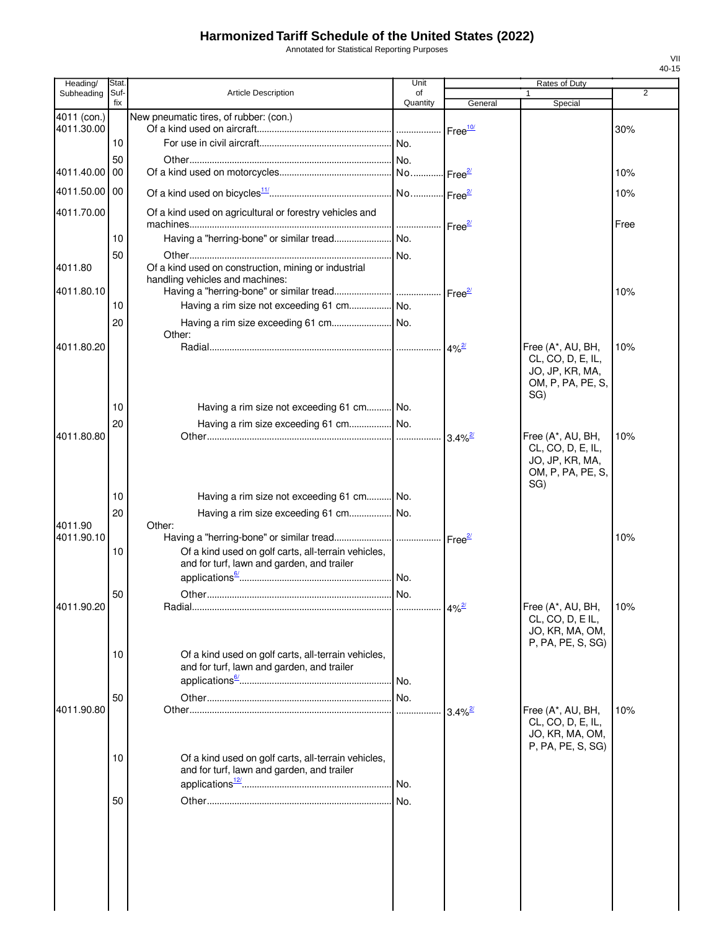Annotated for Statistical Reporting Purposes

| Heading/      | Stat.       |                                                                                                   | Unit           |                       | Rates of Duty                                                                         |      |
|---------------|-------------|---------------------------------------------------------------------------------------------------|----------------|-----------------------|---------------------------------------------------------------------------------------|------|
| Subheading    | Suf-<br>fix | <b>Article Description</b>                                                                        | of<br>Quantity | General               | 1<br>Special                                                                          | 2    |
| 4011 (con.)   |             | New pneumatic tires, of rubber: (con.)                                                            |                |                       |                                                                                       |      |
| 4011.30.00    | 10          |                                                                                                   |                | Free <sup>10</sup>    |                                                                                       | 30%  |
|               |             |                                                                                                   |                |                       |                                                                                       |      |
| 4011.40.00    | 50<br>00    |                                                                                                   |                | Free <sup>2/</sup>    |                                                                                       | 10%  |
| 4011.50.00 00 |             |                                                                                                   |                |                       |                                                                                       | 10%  |
| 4011.70.00    |             | Of a kind used on agricultural or forestry vehicles and                                           |                |                       |                                                                                       |      |
|               |             |                                                                                                   |                |                       |                                                                                       | Free |
|               | 10          |                                                                                                   |                |                       |                                                                                       |      |
| 4011.80       | 50          | Of a kind used on construction, mining or industrial<br>handling vehicles and machines:           |                |                       |                                                                                       |      |
| 4011.80.10    |             |                                                                                                   |                | Free $\frac{2}{2}$    |                                                                                       | 10%  |
|               | 10          |                                                                                                   |                |                       |                                                                                       |      |
|               | 20          |                                                                                                   |                |                       |                                                                                       |      |
| 4011.80.20    |             | Other:                                                                                            |                |                       | Free (A*, AU, BH,                                                                     | 10%  |
|               |             |                                                                                                   |                |                       | CL, CO, D, E, IL,<br>JO, JP, KR, MA,<br>OM, P, PA, PE, S,<br>SG)                      |      |
|               | 10          | Having a rim size not exceeding 61 cm No.                                                         |                |                       |                                                                                       |      |
|               | 20          | Having a rim size exceeding 61 cm No.                                                             |                |                       |                                                                                       |      |
| 4011.80.80    |             |                                                                                                   |                | $3.4\%$ <sup>2/</sup> | Free (A*, AU, BH,<br>CL, CO, D, E, IL,<br>JO, JP, KR, MA,<br>OM, P, PA, PE, S,<br>SG) | 10%  |
|               | 10          | Having a rim size not exceeding 61 cm No.                                                         |                |                       |                                                                                       |      |
| 4011.90       | 20          | Having a rim size exceeding 61 cm No.<br>Other:                                                   |                |                       |                                                                                       |      |
| 4011.90.10    |             |                                                                                                   |                |                       |                                                                                       | 10%  |
|               | 10          | Of a kind used on golf carts, all-terrain vehicles,<br>and for turf, lawn and garden, and trailer |                |                       |                                                                                       |      |
|               | 50          |                                                                                                   |                |                       |                                                                                       |      |
| 4011.90.20    |             |                                                                                                   |                | $4\%$ <sup>2/</sup>   | Free (A*, AU, BH,                                                                     | 10%  |
|               | 10          | Of a kind used on golf carts, all-terrain vehicles,                                               |                |                       | CL, CO, D, E IL,<br>JO, KR, MA, OM,<br>P, PA, PE, S, SG)                              |      |
|               |             | and for turf, lawn and garden, and trailer                                                        |                |                       |                                                                                       |      |
|               |             |                                                                                                   |                |                       |                                                                                       |      |
| 4011.90.80    | 50          |                                                                                                   |                |                       |                                                                                       | 10%  |
|               |             |                                                                                                   |                | $3.4\%$ <sup>2/</sup> | Free (A*, AU, BH,<br>CL, CO, D, E, IL,<br>JO, KR, MA, OM,<br>P, PA, PE, S, SG)        |      |
|               | 10          | Of a kind used on golf carts, all-terrain vehicles,<br>and for turf, lawn and garden, and trailer |                |                       |                                                                                       |      |
|               | 50          |                                                                                                   |                |                       |                                                                                       |      |
|               |             |                                                                                                   |                |                       |                                                                                       |      |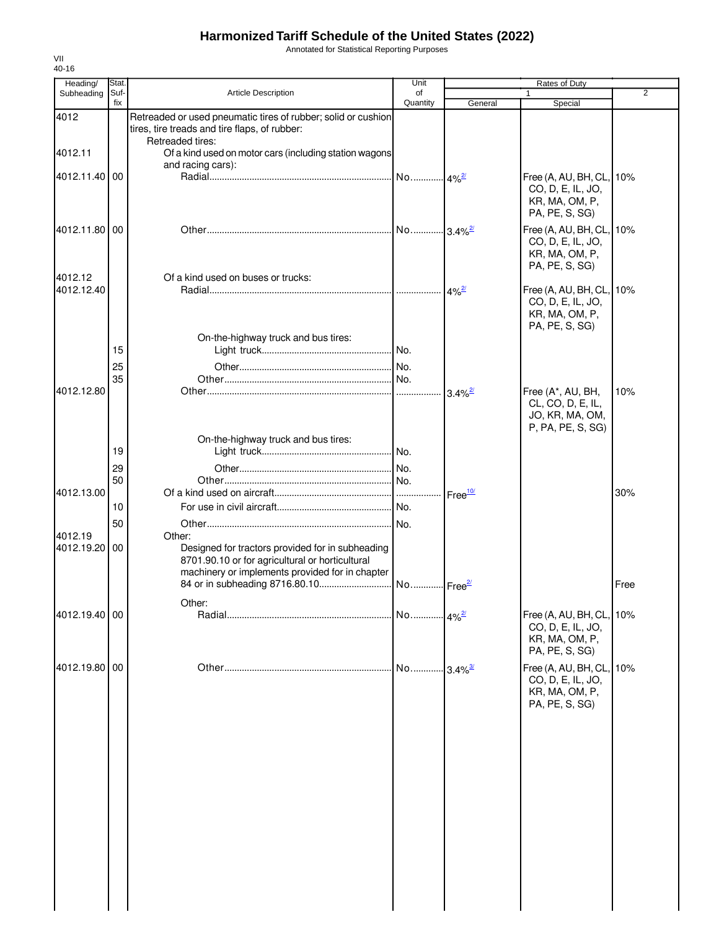Annotated for Statistical Reporting Purposes

| Heading/                 | Stat.       |                                                                                                                                                                  | Unit                  | Rates of Duty      |                                                                                   |                |
|--------------------------|-------------|------------------------------------------------------------------------------------------------------------------------------------------------------------------|-----------------------|--------------------|-----------------------------------------------------------------------------------|----------------|
| Subheading               | Suf-<br>fix | <b>Article Description</b>                                                                                                                                       | of<br>Quantity        | General            | $\mathbf{1}$<br>Special                                                           | $\overline{2}$ |
| 4012                     |             | Retreaded or used pneumatic tires of rubber; solid or cushion<br>tires, tire treads and tire flaps, of rubber:<br>Retreaded tires:                               |                       |                    |                                                                                   |                |
| 4012.11                  |             | Of a kind used on motor cars (including station wagons                                                                                                           |                       |                    |                                                                                   |                |
|                          |             | and racing cars):                                                                                                                                                |                       |                    |                                                                                   |                |
| 4012.11.40 00            |             |                                                                                                                                                                  |                       |                    | Free (A, AU, BH, CL, 10%<br>CO, D, E, IL, JO,<br>KR, MA, OM, P,<br>PA, PE, S, SG) |                |
| 4012.11.80 00            |             |                                                                                                                                                                  |                       |                    | Free (A, AU, BH, CL, 10%<br>CO, D, E, IL, JO,<br>KR, MA, OM, P,<br>PA, PE, S, SG) |                |
| 4012.12                  |             | Of a kind used on buses or trucks:                                                                                                                               |                       |                    |                                                                                   |                |
| 4012.12.40               |             |                                                                                                                                                                  |                       |                    | Free (A, AU, BH, CL,<br>CO, D, E, IL, JO,<br>KR, MA, OM, P,<br>PA, PE, S, SG)     | 10%            |
|                          | 15          | On-the-highway truck and bus tires:                                                                                                                              |                       |                    |                                                                                   |                |
|                          | 25          |                                                                                                                                                                  |                       |                    |                                                                                   |                |
|                          | 35          |                                                                                                                                                                  |                       |                    |                                                                                   |                |
| 4012.12.80               |             |                                                                                                                                                                  |                       |                    | Free (A*, AU, BH,<br>CL, CO, D, E, IL,<br>JO, KR, MA, OM,<br>P, PA, PE, S, SG)    | 10%            |
|                          |             | On-the-highway truck and bus tires:                                                                                                                              |                       |                    |                                                                                   |                |
|                          | 19          |                                                                                                                                                                  |                       |                    |                                                                                   |                |
|                          | 29          |                                                                                                                                                                  |                       |                    |                                                                                   |                |
|                          | 50          |                                                                                                                                                                  |                       |                    |                                                                                   |                |
| 4012.13.00               |             |                                                                                                                                                                  |                       | Free <sup>10</sup> |                                                                                   | 30%            |
|                          | 10          |                                                                                                                                                                  |                       |                    |                                                                                   |                |
|                          | 50          |                                                                                                                                                                  |                       |                    |                                                                                   |                |
| 4012.19<br>4012.19.20 00 |             | Other:<br>Designed for tractors provided for in subheading<br>8701.90.10 or for agricultural or horticultural<br>machinery or implements provided for in chapter |                       |                    |                                                                                   |                |
|                          |             |                                                                                                                                                                  |                       |                    |                                                                                   | Free           |
|                          |             | Other:                                                                                                                                                           |                       |                    |                                                                                   |                |
| 4012.19.40 00            |             |                                                                                                                                                                  | No 4% <sup>2/</sup>   |                    | Free (A, AU, BH, CL,<br>CO, D, E, IL, JO,<br>KR, MA, OM, P,<br>PA, PE, S, SG)     | 10%            |
| 4012.19.80               | 00          |                                                                                                                                                                  | No 3.4% <sup>3/</sup> |                    | Free (A, AU, BH, CL,<br>CO, D, E, IL, JO,<br>KR, MA, OM, P,<br>PA, PE, S, SG)     | 10%            |
|                          |             |                                                                                                                                                                  |                       |                    |                                                                                   |                |
|                          |             |                                                                                                                                                                  |                       |                    |                                                                                   |                |
|                          |             |                                                                                                                                                                  |                       |                    |                                                                                   |                |
|                          |             |                                                                                                                                                                  |                       |                    |                                                                                   |                |
|                          |             |                                                                                                                                                                  |                       |                    |                                                                                   |                |
|                          |             |                                                                                                                                                                  |                       |                    |                                                                                   |                |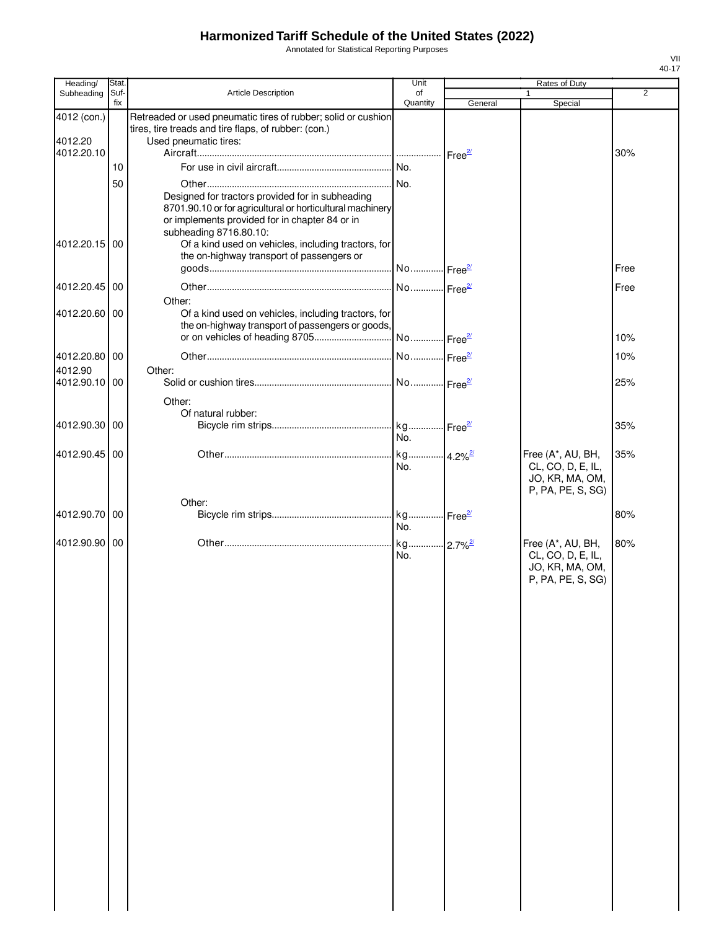Annotated for Statistical Reporting Purposes

| Heading/                 | Stat.       |                                                                                                                                                                                                                                                  | Unit                  |         | Rates of Duty                                                                  |      |
|--------------------------|-------------|--------------------------------------------------------------------------------------------------------------------------------------------------------------------------------------------------------------------------------------------------|-----------------------|---------|--------------------------------------------------------------------------------|------|
| Subheading               | Suf-<br>fix | <b>Article Description</b>                                                                                                                                                                                                                       | of<br>Quantity        | General | $\mathbf{1}$<br>Special                                                        | 2    |
| 4012 (con.)<br>4012.20   |             | Retreaded or used pneumatic tires of rubber; solid or cushion<br>tires, tire treads and tire flaps, of rubber: (con.)<br>Used pneumatic tires:                                                                                                   |                       |         |                                                                                |      |
| 4012.20.10               |             |                                                                                                                                                                                                                                                  |                       |         |                                                                                | 30%  |
|                          | 10          |                                                                                                                                                                                                                                                  | No.                   |         |                                                                                |      |
| 4012.20.15 00            | 50          | Designed for tractors provided for in subheading<br>8701.90.10 or for agricultural or horticultural machinery<br>or implements provided for in chapter 84 or in<br>subheading 8716.80.10:<br>Of a kind used on vehicles, including tractors, for |                       |         |                                                                                |      |
|                          |             | the on-highway transport of passengers or                                                                                                                                                                                                        |                       |         |                                                                                | Free |
|                          |             |                                                                                                                                                                                                                                                  |                       |         |                                                                                |      |
| 4012.20.45 00            |             |                                                                                                                                                                                                                                                  | No Free <sup>2/</sup> |         |                                                                                | Free |
| 4012.20.60 00            |             | Other:<br>Of a kind used on vehicles, including tractors, for<br>the on-highway transport of passengers or goods,                                                                                                                                |                       |         |                                                                                | 10%  |
|                          |             |                                                                                                                                                                                                                                                  |                       |         |                                                                                |      |
| 4012.20.80 00<br>4012.90 |             | Other:                                                                                                                                                                                                                                           |                       |         |                                                                                | 10%  |
| 4012.90.10 00            |             |                                                                                                                                                                                                                                                  |                       |         |                                                                                | 25%  |
| 4012.90.30 00            |             | Other:<br>Of natural rubber:                                                                                                                                                                                                                     |                       |         |                                                                                | 35%  |
|                          |             |                                                                                                                                                                                                                                                  | No.                   |         |                                                                                |      |
| 4012.90.45 00            |             |                                                                                                                                                                                                                                                  | No.                   |         | Free (A*, AU, BH,<br>CL, CO, D, E, IL,<br>JO, KR, MA, OM,<br>P, PA, PE, S, SG) | 35%  |
|                          |             | Other:                                                                                                                                                                                                                                           |                       |         |                                                                                |      |
| 4012.90.70 00            |             |                                                                                                                                                                                                                                                  | No.                   |         |                                                                                | 80%  |
| 4012.90.90 00            |             |                                                                                                                                                                                                                                                  | No.                   |         | Free (A*, AU, BH,<br>CL, CO, D, E, IL,<br>JO, KR, MA, OM,<br>P, PA, PE, S, SG) | 80%  |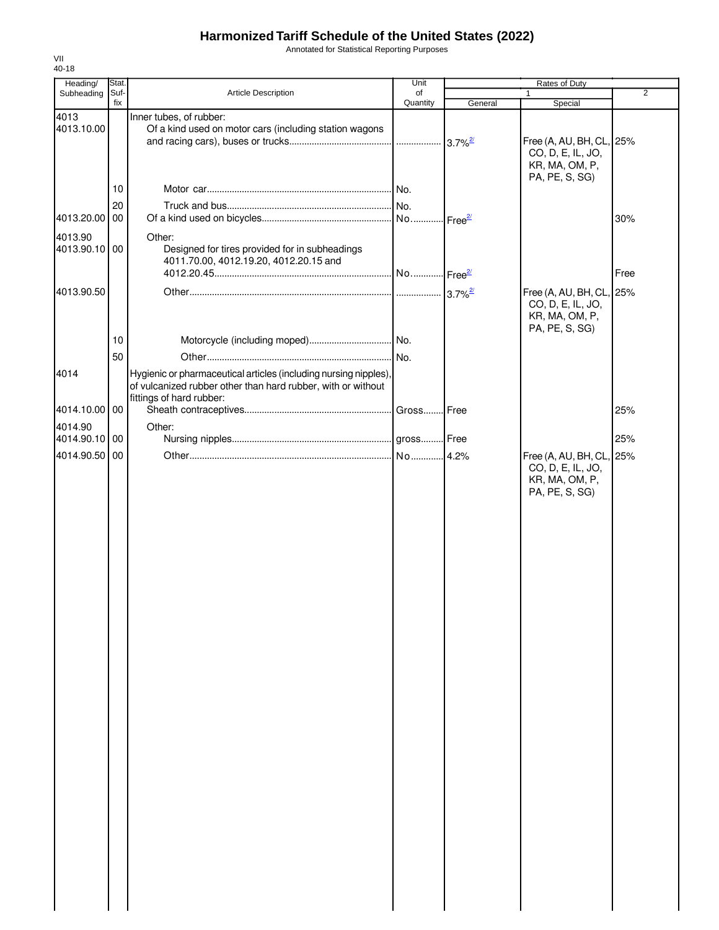Annotated for Statistical Reporting Purposes

| Heading/                 | Stat.       |                                                                                                                                  | Unit           |         | Rates of Duty                                 |                |
|--------------------------|-------------|----------------------------------------------------------------------------------------------------------------------------------|----------------|---------|-----------------------------------------------|----------------|
| Subheading               | Suf-<br>fix | <b>Article Description</b>                                                                                                       | of<br>Quantity | General | 1<br>Special                                  | $\overline{2}$ |
| 4013                     |             | Inner tubes, of rubber:                                                                                                          |                |         |                                               |                |
| 4013.10.00               |             | Of a kind used on motor cars (including station wagons                                                                           |                |         |                                               |                |
|                          |             |                                                                                                                                  |                |         | Free (A, AU, BH, CL, 25%                      |                |
|                          |             |                                                                                                                                  |                |         | CO, D, E, IL, JO,                             |                |
|                          |             |                                                                                                                                  |                |         | KR, MA, OM, P,                                |                |
|                          |             |                                                                                                                                  |                |         | PA, PE, S, SG)                                |                |
|                          | 10          |                                                                                                                                  |                |         |                                               |                |
|                          | 20          |                                                                                                                                  |                |         |                                               |                |
| 4013.20.00 00            |             |                                                                                                                                  |                |         |                                               | 30%            |
| 4013.90                  |             | Other:                                                                                                                           |                |         |                                               |                |
| 4013.90.10 00            |             | Designed for tires provided for in subheadings                                                                                   |                |         |                                               |                |
|                          |             | 4011.70.00, 4012.19.20, 4012.20.15 and                                                                                           |                |         |                                               |                |
|                          |             |                                                                                                                                  |                |         |                                               | Free           |
| 4013.90.50               |             |                                                                                                                                  |                |         |                                               |                |
|                          |             |                                                                                                                                  |                |         | Free (A, AU, BH, CL, 25%<br>CO, D, E, IL, JO, |                |
|                          |             |                                                                                                                                  |                |         | KR, MA, OM, P,                                |                |
|                          |             |                                                                                                                                  |                |         | PA, PE, S, SG)                                |                |
|                          | 10          |                                                                                                                                  |                |         |                                               |                |
|                          | 50          |                                                                                                                                  |                |         |                                               |                |
|                          |             |                                                                                                                                  |                |         |                                               |                |
| 4014                     |             | Hygienic or pharmaceutical articles (including nursing nipples),<br>of vulcanized rubber other than hard rubber, with or without |                |         |                                               |                |
|                          |             | fittings of hard rubber:                                                                                                         |                |         |                                               |                |
| 4014.10.00 00            |             |                                                                                                                                  |                |         |                                               | 25%            |
|                          |             |                                                                                                                                  |                |         |                                               |                |
| 4014.90<br>4014.90.10 00 |             | Other:                                                                                                                           |                |         |                                               | 25%            |
|                          |             |                                                                                                                                  |                |         |                                               |                |
| 4014.90.50 00            |             |                                                                                                                                  |                |         | Free (A, AU, BH, CL, 25%                      |                |
|                          |             |                                                                                                                                  |                |         | CO, D, E, IL, JO,                             |                |
|                          |             |                                                                                                                                  |                |         | KR, MA, OM, P,<br>PA, PE, S, SG)              |                |
|                          |             |                                                                                                                                  |                |         |                                               |                |
|                          |             |                                                                                                                                  |                |         |                                               |                |
|                          |             |                                                                                                                                  |                |         |                                               |                |
|                          |             |                                                                                                                                  |                |         |                                               |                |
|                          |             |                                                                                                                                  |                |         |                                               |                |
|                          |             |                                                                                                                                  |                |         |                                               |                |
|                          |             |                                                                                                                                  |                |         |                                               |                |
|                          |             |                                                                                                                                  |                |         |                                               |                |
|                          |             |                                                                                                                                  |                |         |                                               |                |
|                          |             |                                                                                                                                  |                |         |                                               |                |
|                          |             |                                                                                                                                  |                |         |                                               |                |
|                          |             |                                                                                                                                  |                |         |                                               |                |
|                          |             |                                                                                                                                  |                |         |                                               |                |
|                          |             |                                                                                                                                  |                |         |                                               |                |
|                          |             |                                                                                                                                  |                |         |                                               |                |
|                          |             |                                                                                                                                  |                |         |                                               |                |
|                          |             |                                                                                                                                  |                |         |                                               |                |
|                          |             |                                                                                                                                  |                |         |                                               |                |
|                          |             |                                                                                                                                  |                |         |                                               |                |
|                          |             |                                                                                                                                  |                |         |                                               |                |
|                          |             |                                                                                                                                  |                |         |                                               |                |
|                          |             |                                                                                                                                  |                |         |                                               |                |
|                          |             |                                                                                                                                  |                |         |                                               |                |
|                          |             |                                                                                                                                  |                |         |                                               |                |
|                          |             |                                                                                                                                  |                |         |                                               |                |
|                          |             |                                                                                                                                  |                |         |                                               |                |
|                          |             |                                                                                                                                  |                |         |                                               |                |
|                          |             |                                                                                                                                  |                |         |                                               |                |
|                          |             |                                                                                                                                  |                |         |                                               |                |
|                          |             |                                                                                                                                  |                |         |                                               |                |
|                          |             |                                                                                                                                  |                |         |                                               |                |
|                          |             |                                                                                                                                  |                |         |                                               |                |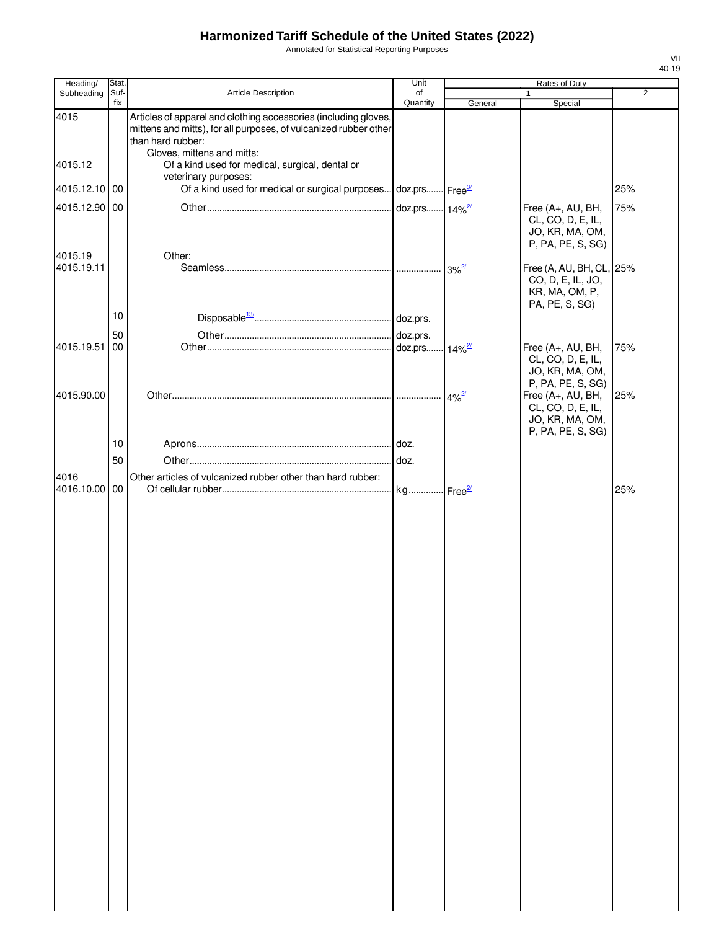Annotated for Statistical Reporting Purposes

| Heading/              | Stat.       |                                                                                                                                                                                        | Unit                      |                     | Rates of Duty                                                                     |                |
|-----------------------|-------------|----------------------------------------------------------------------------------------------------------------------------------------------------------------------------------------|---------------------------|---------------------|-----------------------------------------------------------------------------------|----------------|
| Subheading            | Suf-<br>fix | Article Description                                                                                                                                                                    | of<br>Quantity            | General             | Special                                                                           | $\overline{2}$ |
| 4015                  |             | Articles of apparel and clothing accessories (including gloves,<br>mittens and mitts), for all purposes, of vulcanized rubber other<br>than hard rubber:<br>Gloves, mittens and mitts: |                           |                     |                                                                                   |                |
| 4015.12               |             | Of a kind used for medical, surgical, dental or                                                                                                                                        |                           |                     |                                                                                   |                |
| 4015.12.10 00         |             | veterinary purposes:<br>Of a kind used for medical or surgical purposes doz.prs Free <sup>31</sup>                                                                                     |                           |                     |                                                                                   | 25%            |
| 4015.12.90            | 00          |                                                                                                                                                                                        | doz.prs 14% <sup>2/</sup> |                     | Free (A+, AU, BH,<br>CL, CO, D, E, IL,<br>JO, KR, MA, OM,<br>P, PA, PE, S, SG)    | 75%            |
| 4015.19<br>4015.19.11 |             | Other:                                                                                                                                                                                 |                           | $3\%$ <sup>2/</sup> | Free (A, AU, BH, CL, 25%<br>CO, D, E, IL, JO,<br>KR, MA, OM, P,<br>PA, PE, S, SG) |                |
|                       | 10          |                                                                                                                                                                                        |                           |                     |                                                                                   |                |
|                       | 50          |                                                                                                                                                                                        |                           |                     |                                                                                   |                |
| 4015.19.51            | 00          |                                                                                                                                                                                        |                           |                     | Free (A+, AU, BH,<br>CL, CO, D, E, IL,<br>JO, KR, MA, OM,<br>P, PA, PE, S, SG)    | 75%            |
| 4015.90.00            |             |                                                                                                                                                                                        |                           | $4\%$ <sup>2/</sup> | Free (A+, AU, BH,<br>CL, CO, D, E, IL,<br>JO, KR, MA, OM,<br>P, PA, PE, S, SG)    | 25%            |
|                       | 10          |                                                                                                                                                                                        |                           |                     |                                                                                   |                |
|                       | 50          |                                                                                                                                                                                        |                           |                     |                                                                                   |                |
| 4016<br>4016.10.00 00 |             | Other articles of vulcanized rubber other than hard rubber:                                                                                                                            | kg Free <sup>2/</sup>     |                     |                                                                                   | 25%            |
|                       |             |                                                                                                                                                                                        |                           |                     |                                                                                   |                |
|                       |             |                                                                                                                                                                                        |                           |                     |                                                                                   |                |
|                       |             |                                                                                                                                                                                        |                           |                     |                                                                                   |                |
|                       |             |                                                                                                                                                                                        |                           |                     |                                                                                   |                |
|                       |             |                                                                                                                                                                                        |                           |                     |                                                                                   |                |
|                       |             |                                                                                                                                                                                        |                           |                     |                                                                                   |                |
|                       |             |                                                                                                                                                                                        |                           |                     |                                                                                   |                |
|                       |             |                                                                                                                                                                                        |                           |                     |                                                                                   |                |
|                       |             |                                                                                                                                                                                        |                           |                     |                                                                                   |                |
|                       |             |                                                                                                                                                                                        |                           |                     |                                                                                   |                |
|                       |             |                                                                                                                                                                                        |                           |                     |                                                                                   |                |
|                       |             |                                                                                                                                                                                        |                           |                     |                                                                                   |                |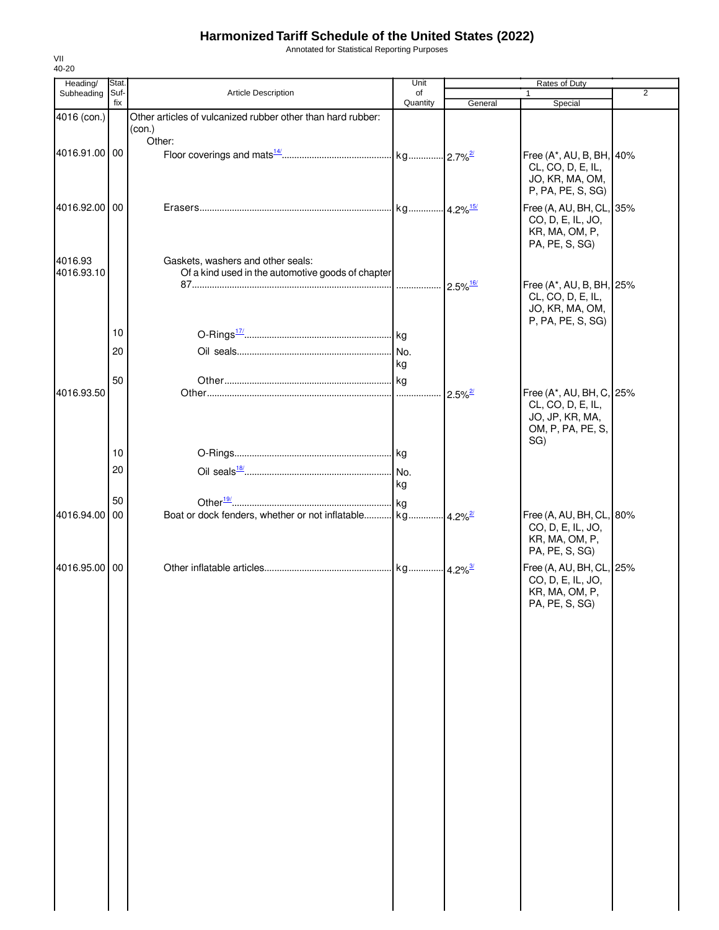Annotated for Statistical Reporting Purposes

| Heading/              | Stat.       |                                                                                        | Unit           |                        | Rates of Duty                                         |                |
|-----------------------|-------------|----------------------------------------------------------------------------------------|----------------|------------------------|-------------------------------------------------------|----------------|
| Subheading            | Suf-<br>fix | Article Description                                                                    | of<br>Quantity | General                | 1<br>Special                                          | $\overline{2}$ |
| 4016 (con.)           |             | Other articles of vulcanized rubber other than hard rubber:                            |                |                        |                                                       |                |
|                       |             | (con.)<br>Other:                                                                       |                |                        |                                                       |                |
| 4016.91.00 00         |             |                                                                                        |                |                        | Free (A*, AU, B, BH, 40%                              |                |
|                       |             |                                                                                        |                |                        | CL, CO, D, E, IL,                                     |                |
|                       |             |                                                                                        |                |                        | JO, KR, MA, OM,<br>P, PA, PE, S, SG)                  |                |
| 4016.92.00 00         |             |                                                                                        |                |                        | Free (A, AU, BH, CL, 35%                              |                |
|                       |             |                                                                                        |                |                        | CO, D, E, IL, JO,<br>KR, MA, OM, P,<br>PA, PE, S, SG) |                |
| 4016.93<br>4016.93.10 |             | Gaskets, washers and other seals:<br>Of a kind used in the automotive goods of chapter |                |                        |                                                       |                |
|                       |             |                                                                                        |                | $2.5\%$ <sup>16/</sup> | Free (A*, AU, B, BH, 25%                              |                |
|                       |             |                                                                                        |                |                        | CL, CO, D, E, IL,<br>JO, KR, MA, OM,                  |                |
|                       |             |                                                                                        |                |                        | P, PA, PE, S, SG)                                     |                |
|                       | 10          |                                                                                        |                |                        |                                                       |                |
|                       | 20          |                                                                                        |                |                        |                                                       |                |
|                       | 50          |                                                                                        | kg             |                        |                                                       |                |
| 4016.93.50            |             |                                                                                        |                | $2.5\%$ <sup>2/</sup>  | Free (A*, AU, BH, C, 25%                              |                |
|                       |             |                                                                                        |                |                        | CL, CO, D, E, IL,                                     |                |
|                       |             |                                                                                        |                |                        | JO, JP, KR, MA,<br>OM, P, PA, PE, S,                  |                |
|                       |             |                                                                                        |                |                        | SG)                                                   |                |
|                       | 10          |                                                                                        |                |                        |                                                       |                |
|                       | 20          |                                                                                        | kg             |                        |                                                       |                |
|                       | 50          |                                                                                        |                |                        |                                                       |                |
| 4016.94.00 00         |             |                                                                                        |                |                        | Free (A, AU, BH, CL, 80%                              |                |
|                       |             |                                                                                        |                |                        | CO, D, E, IL, JO,                                     |                |
|                       |             |                                                                                        |                |                        | KR, MA, OM, P,<br>PA, PE, S, SG)                      |                |
| 4016.95.00 00         |             |                                                                                        |                |                        | Free (A, AU, BH, CL, 25%                              |                |
|                       |             |                                                                                        |                |                        | CO, D, E, IL, JO,<br>KR, MA, OM, P,                   |                |
|                       |             |                                                                                        |                |                        | PA, PE, S, SG)                                        |                |
|                       |             |                                                                                        |                |                        |                                                       |                |
|                       |             |                                                                                        |                |                        |                                                       |                |
|                       |             |                                                                                        |                |                        |                                                       |                |
|                       |             |                                                                                        |                |                        |                                                       |                |
|                       |             |                                                                                        |                |                        |                                                       |                |
|                       |             |                                                                                        |                |                        |                                                       |                |
|                       |             |                                                                                        |                |                        |                                                       |                |
|                       |             |                                                                                        |                |                        |                                                       |                |
|                       |             |                                                                                        |                |                        |                                                       |                |
|                       |             |                                                                                        |                |                        |                                                       |                |
|                       |             |                                                                                        |                |                        |                                                       |                |
|                       |             |                                                                                        |                |                        |                                                       |                |
|                       |             |                                                                                        |                |                        |                                                       |                |
|                       |             |                                                                                        |                |                        |                                                       |                |
|                       |             |                                                                                        |                |                        |                                                       |                |
|                       |             |                                                                                        |                |                        |                                                       |                |
|                       |             |                                                                                        |                |                        |                                                       |                |
|                       |             |                                                                                        |                |                        |                                                       |                |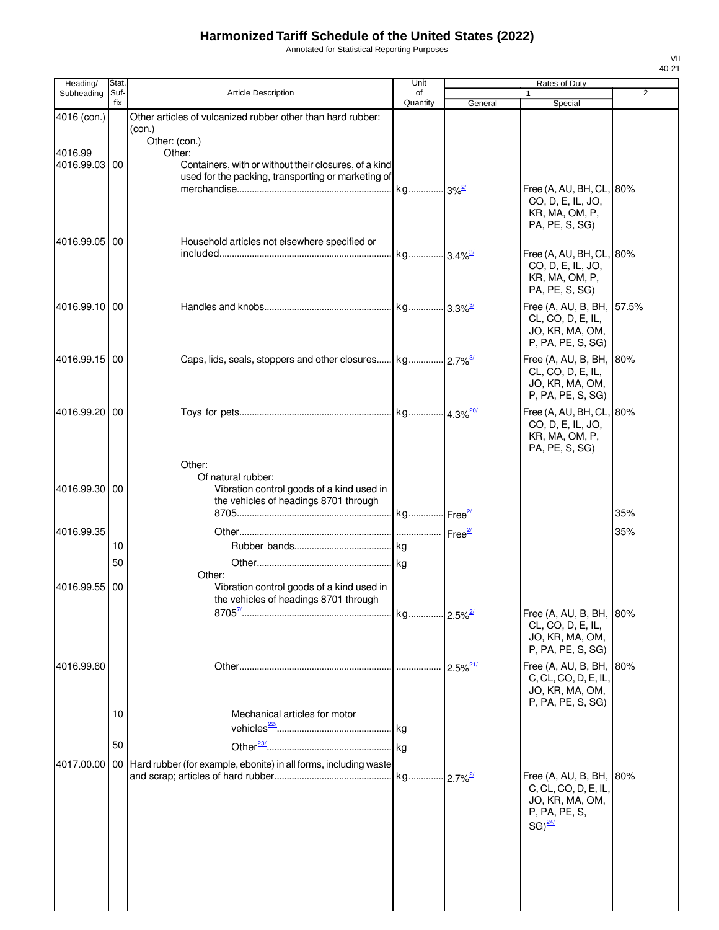Annotated for Statistical Reporting Purposes

| Heading/              | Stat.       |                                                                                                                                                  | Unit                  |                        | Rates of Duty                                                                           |                |
|-----------------------|-------------|--------------------------------------------------------------------------------------------------------------------------------------------------|-----------------------|------------------------|-----------------------------------------------------------------------------------------|----------------|
| Subheading            | Suf-<br>fix | Article Description                                                                                                                              | of                    |                        |                                                                                         | $\overline{2}$ |
| 4016 (con.)           |             | Other articles of vulcanized rubber other than hard rubber:                                                                                      | Quantity              | General                | Special                                                                                 |                |
| 4016.99<br>4016.99.03 | 00          | (con.)<br>Other: (con.)<br>Other:<br>Containers, with or without their closures, of a kind<br>used for the packing, transporting or marketing of |                       |                        | Free (A, AU, BH, CL, 80%                                                                |                |
| 4016.99.05            | 00          | Household articles not elsewhere specified or                                                                                                    |                       |                        | CO, D, E, IL, JO,<br>KR, MA, OM, P,<br>PA, PE, S, SG)                                   |                |
|                       |             |                                                                                                                                                  | kg 3.4% <sup>3/</sup> |                        | Free (A, AU, BH, CL, 80%<br>CO, D, E, IL, JO,<br>KR, MA, OM, P,<br>PA, PE, S, SG)       |                |
| 4016.99.10 00         |             |                                                                                                                                                  |                       |                        | Free (A, AU, B, BH, 57.5%<br>CL, CO, D, E, IL,<br>JO, KR, MA, OM,<br>P, PA, PE, S, SG)  |                |
| 4016.99.15 00         |             |                                                                                                                                                  |                       |                        | Free (A, AU, B, BH, 80%<br>CL, CO, D, E, IL,<br>JO, KR, MA, OM,<br>P, PA, PE, S, SG)    |                |
| 4016.99.20            | 00          |                                                                                                                                                  |                       |                        | Free (A, AU, BH, CL, 80%<br>CO, D, E, IL, JO,<br>KR, MA, OM, P,<br>PA, PE, S, SG)       |                |
| 4016.99.30            | 00          | Other:<br>Of natural rubber:<br>Vibration control goods of a kind used in<br>the vehicles of headings 8701 through                               |                       |                        |                                                                                         | 35%            |
|                       |             |                                                                                                                                                  |                       |                        |                                                                                         |                |
| 4016.99.35            |             |                                                                                                                                                  |                       |                        |                                                                                         | 35%            |
|                       | 10          |                                                                                                                                                  |                       |                        |                                                                                         |                |
|                       | 50          | Other:                                                                                                                                           |                       |                        |                                                                                         |                |
| 4016.99.55            | 00          | Vibration control goods of a kind used in<br>the vehicles of headings 8701 through                                                               |                       |                        |                                                                                         |                |
|                       |             |                                                                                                                                                  | kg 2.5% <sup>2/</sup> |                        | Free (A, AU, B, BH, 80%<br>CL, CO, D, E, IL,<br>JO, KR, MA, OM,<br>P, PA, PE, S, SG)    |                |
| 4016.99.60            |             |                                                                                                                                                  |                       | $2.5\%$ <sup>21/</sup> | Free (A, AU, B, BH, 80%<br>C, CL, CO, D, E, IL,<br>JO, KR, MA, OM,<br>P, PA, PE, S, SG) |                |
|                       | 10          | Mechanical articles for motor                                                                                                                    |                       |                        |                                                                                         |                |
|                       | 50          |                                                                                                                                                  |                       |                        |                                                                                         |                |
| 4017.00.00            | 00          | Hard rubber (for example, ebonite) in all forms, including waste                                                                                 |                       |                        | Free (A, AU, B, BH, 80%<br>C, CL, CO, D, E, IL,                                         |                |
|                       |             |                                                                                                                                                  |                       |                        | JO, KR, MA, OM,<br>P, PA, PE, S,<br>$SG)^{24/2}$                                        |                |
|                       |             |                                                                                                                                                  |                       |                        |                                                                                         |                |
|                       |             |                                                                                                                                                  |                       |                        |                                                                                         |                |